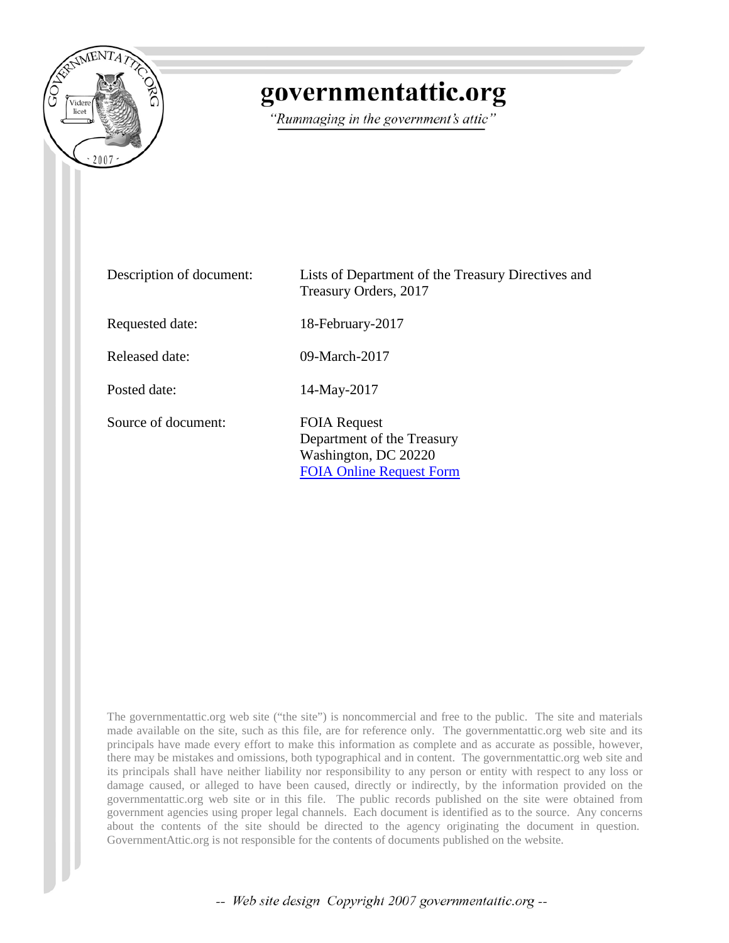

# governmentattic.org

"Rummaging in the government's attic"

| Description of document: | Lists of Department of the Treasury Directives and<br>Treasury Orders, 2017                                  |
|--------------------------|--------------------------------------------------------------------------------------------------------------|
| Requested date:          | 18-February-2017                                                                                             |
| Released date:           | 09-March-2017                                                                                                |
| Posted date:             | 14-May-2017                                                                                                  |
| Source of document:      | <b>FOIA Request</b><br>Department of the Treasury<br>Washington, DC 20220<br><b>FOIA Online Request Form</b> |

The governmentattic.org web site ("the site") is noncommercial and free to the public. The site and materials made available on the site, such as this file, are for reference only. The governmentattic.org web site and its principals have made every effort to make this information as complete and as accurate as possible, however, there may be mistakes and omissions, both typographical and in content. The governmentattic.org web site and its principals shall have neither liability nor responsibility to any person or entity with respect to any loss or damage caused, or alleged to have been caused, directly or indirectly, by the information provided on the governmentattic.org web site or in this file. The public records published on the site were obtained from government agencies using proper legal channels. Each document is identified as to the source. Any concerns about the contents of the site should be directed to the agency originating the document in question. GovernmentAttic.org is not responsible for the contents of documents published on the website.

-- Web site design Copyright 2007 governmentattic.org --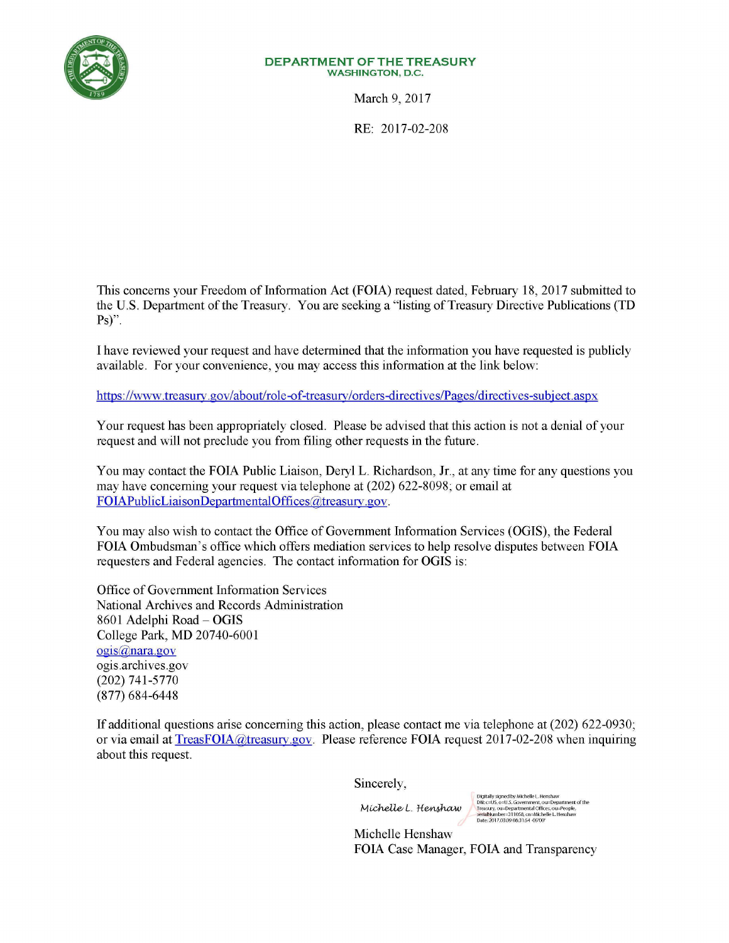

#### **DEPARTMENTOFTHETREASURY WASHINGTON,** D.C.

March 9, 2017

RE: 2017-02-208

This concerns your Freedom of Information Act (FOIA) request dated, February 18, 2017 submitted to the U.S. Department of the Treasury. You are seeking a "listing of Treasury Directive Publications **(TD**  Ps)".

I have reviewed your request and have determined that the information you have requested is publicly available. For your convenience, you may access this information at the link below:

https://www.treasury.gov/about/role-of-treasury/orders-directives/Pages/directives-subject.aspx

Your request has been appropriately closed. Please be advised that this action is not a denial of your request and will not preclude you from filing other requests in the future.

You may contact the FOIA Public Liaison, Deryl L. Richardson, Jr., at any time for any questions you may have concerning your request via telephone at (202) 622-8098; or email at FOIAPublicLiaisonDepartmentalOffices@treasury.gov.

You may also wish to contact the Office of Government Information Services (OGIS), the Federal FOIA Ombudsman's office which offers mediation services to help resolve disputes between FOIA requesters and Federal agencies. The contact information for OGIS is:

Office of Government Information Services National Archives and Records Administration 8601 Adelphi Road - OGIS College Park, MD 20740-6001 ogis@nara.gov ogis.archives.gov (202) 741-5770 (877) 684-6448

If additional questions arise concerning this action, please contact me via telephone at (202) 622-0930; or via email at TreasFOIA@treasury.gov. Please reference FOIA request 2017-02-208 when inquiring about this request.

Sincerely,

Michelle L. Henshaw

Digitally signed by Michelle L. Henshaw<br>DN: c=US, o=U.S. Government, ou=Department of the<br>Treasury, ou=Departmental Offices, ou=People,<br>serialNumber=311058, cn=Michelle L. Henshaw<br>Date: 2017.03.09 08:31:54 -05'00'

Michelle Henshaw FOIA Case Manager, FOIA and Transparency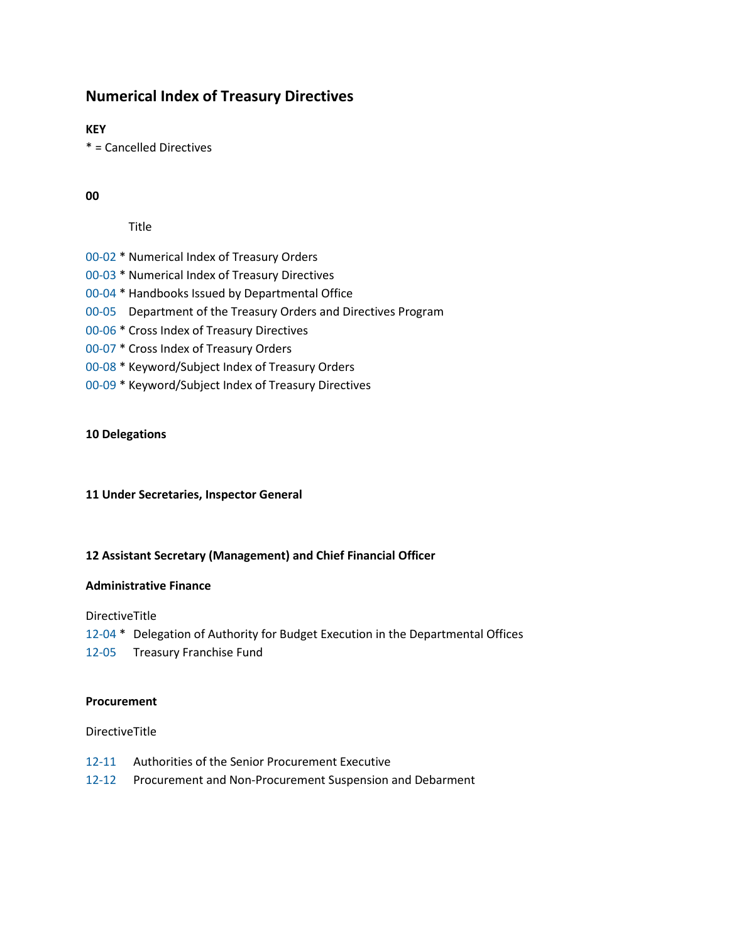# **Numerical Index of Treasury Directives**

**KEY**

\* = Cancelled Directives

## **00**

Title

- [00-02](https://www.treasury.gov/about/role-of-treasury/orders-directives/Pages/td00-02.aspx) \* Numerical Index of Treasury Orders
- [00-03](https://www.treasury.gov/about/role-of-treasury/orders-directives/Pages/td00-03.aspx) \* Numerical Index of Treasury Directives
- [00-04](https://www.treasury.gov/about/role-of-treasury/orders-directives/Pages/TD00-04-Cancellation-Notice.aspx) \* Handbooks Issued by Departmental Office
- [00-05](https://www.treasury.gov/about/role-of-treasury/orders-directives/Pages/td00-05.aspx) Department of the Treasury Orders and Directives Program
- [00-06 \\*](https://www.treasury.gov/about/role-of-treasury/orders-directives/Pages/td00-06.aspx) Cross Index of Treasury Directives
- [00-07](https://www.treasury.gov/about/role-of-treasury/orders-directives/Pages/td00-07.aspx) \* Cross Index of Treasury Orders
- [00-08](https://www.treasury.gov/about/role-of-treasury/orders-directives/Pages/td00-08.aspx) \* Keyword/Subject Index of Treasury Orders
- [00-09](https://www.treasury.gov/about/role-of-treasury/orders-directives/Pages/td00-09.aspx) \* Keyword/Subject Index of Treasury Directives

#### **10 Delegations**

#### **11 Under Secretaries, Inspector General**

#### **12 Assistant Secretary (Management) and Chief Financial Officer**

#### **Administrative Finance**

DirectiveTitle

- [12-04](https://www.treasury.gov/about/role-of-treasury/orders-directives/Pages/td12-04.aspx) \* Delegation of Authority for Budget Execution in the Departmental Offices
- [12-05](https://www.treasury.gov/about/role-of-treasury/orders-directives/Pages/TREASURY-DIRECTIVE-12-05.aspx) Treasury Franchise Fund

#### **Procurement**

- [12-11](https://www.treasury.gov/about/role-of-treasury/orders-directives/Pages/td12-11.aspx) Authorities of the Senior Procurement Executive
- [12-12](https://www.treasury.gov/about/role-of-treasury/orders-directives/Pages/td12-12.aspx) Procurement and Non-Procurement Suspension and Debarment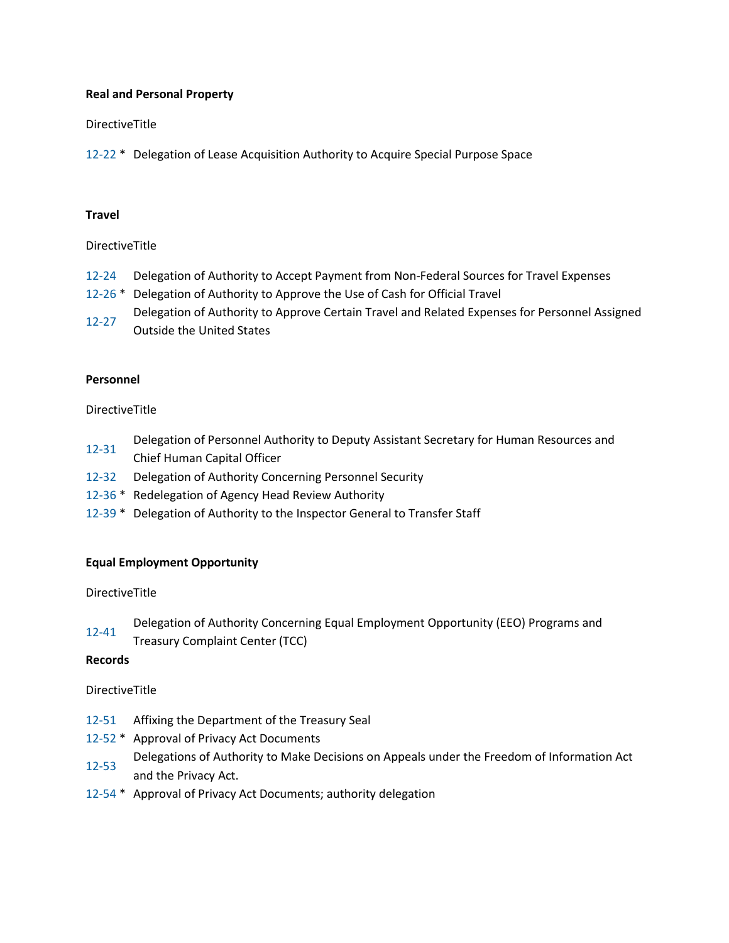## **Real and Personal Property**

## DirectiveTitle

[12-22](https://www.treasury.gov/about/role-of-treasury/orders-directives/Pages/td12-22.aspx) \* Delegation of Lease Acquisition Authority to Acquire Special Purpose Space

#### **Travel**

#### DirectiveTitle

- [12-24](https://www.treasury.gov/about/role-of-treasury/orders-directives/Pages/td12-24.aspx) Delegation of Authority to Accept Payment from Non-Federal Sources for Travel Expenses
- [12-26](https://www.treasury.gov/about/role-of-treasury/orders-directives/Pages/td12-26.aspx) \* Delegation of Authority to Approve the Use of Cash for Official Travel
- [12-27](https://www.treasury.gov/about/role-of-treasury/orders-directives/Pages/td12-27.aspx) Delegation of Authority to Approve Certain Travel and Related Expenses for Personnel Assigned
- Outside the United States

#### **Personnel**

## DirectiveTitle

- [12-31](https://www.treasury.gov/about/role-of-treasury/orders-directives/Pages/td12-31.aspx) Delegation of Personnel Authority to Deputy Assistant Secretary for Human Resources and Chief Human Capital Officer
- [12-32](https://www.treasury.gov/about/role-of-treasury/orders-directives/Pages/td12-32.aspx) Delegation of Authority Concerning Personnel Security
- [12-36](https://www.treasury.gov/about/role-of-treasury/orders-directives/Pages/td12-36.aspx) \* Redelegation of Agency Head Review Authority
- [12-39](https://www.treasury.gov/about/role-of-treasury/orders-directives/Pages/td12-39.aspx) \* Delegation of Authority to the Inspector General to Transfer Staff

#### **Equal Employment Opportunity**

#### DirectiveTitle

[12-41](https://www.treasury.gov/about/role-of-treasury/orders-directives/Pages/td12-41.aspx) Delegation of Authority Concerning Equal Employment Opportunity (EEO) Programs and

Treasury Complaint Center (TCC)

#### **Records**

- [12-51](https://www.treasury.gov/about/role-of-treasury/orders-directives/Pages/td12-51.aspx) Affixing the Department of the Treasury Seal
- [12-52](https://www.treasury.gov/about/role-of-treasury/orders-directives/Pages/td12-52.aspx) \* Approval of Privacy Act Documents
- [12-53](https://www.treasury.gov/about/role-of-treasury/orders-directives/Pages/td12-53.aspx) Delegations of Authority to Make Decisions on Appeals under the Freedom of Information Act and the Privacy Act.
- [12-54](https://www.treasury.gov/about/role-of-treasury/orders-directives/Pages/td12-54.aspx) \* Approval of Privacy Act Documents; authority delegation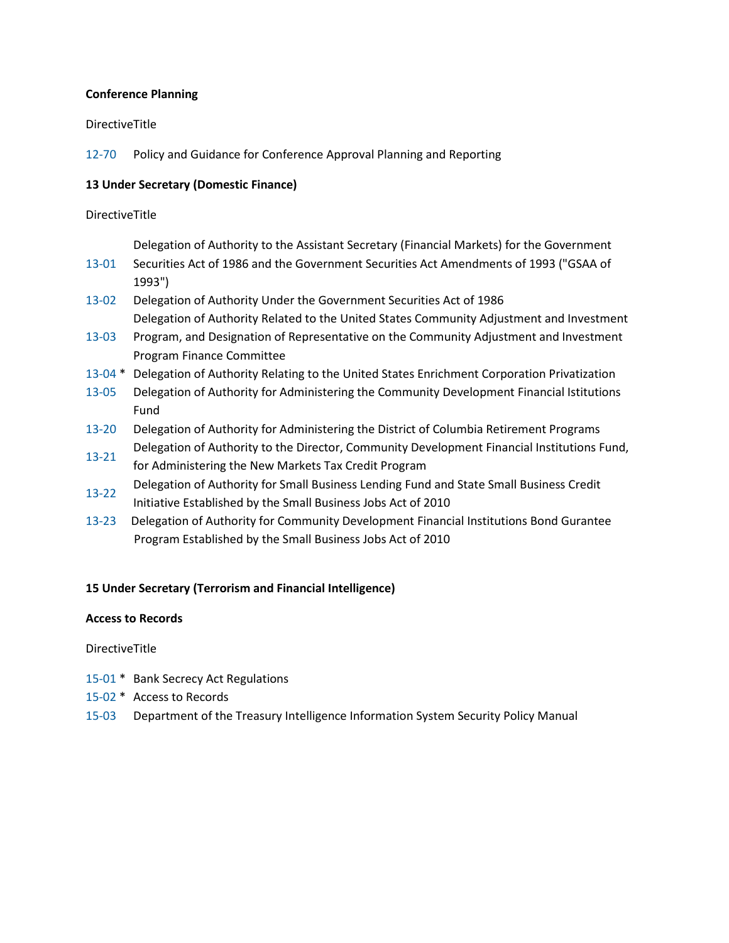#### **Conference Planning**

#### DirectiveTitle

[12-70](https://www.treasury.gov/about/role-of-treasury/orders-directives/Pages/td12-70.aspx) Policy and Guidance for Conference Approval Planning and Reporting

#### **13 Under Secretary (Domestic Finance)**

#### DirectiveTitle

Delegation of Authority to the Assistant Secretary (Financial Markets) for the Government

- [13-01](https://www.treasury.gov/about/role-of-treasury/orders-directives/Pages/td13-01.aspx) Securities Act of 1986 and the Government Securities Act Amendments of 1993 ("GSAA of 1993")
- [13-02](https://www.treasury.gov/about/role-of-treasury/orders-directives/Pages/td13-02.aspx) Delegation of Authority Under the Government Securities Act of 1986 Delegation of Authority Related to the United States Community Adjustment and Investment
- [13-03](https://www.treasury.gov/about/role-of-treasury/orders-directives/Pages/td13-03.aspx) Program, and Designation of Representative on the Community Adjustment and Investment Program Finance Committee
- [13-04](https://www.treasury.gov/about/role-of-treasury/orders-directives/Pages/td13-04.aspx) \* Delegation of Authority Relating to the United States Enrichment Corporation Privatization
- [13-05](https://www.treasury.gov/about/role-of-treasury/orders-directives/Pages/td13-05.aspx) Delegation of Authority for Administering the Community Development Financial Istitutions Fund
- [13-20](https://www.treasury.gov/about/role-of-treasury/orders-directives/Pages/td13-20.aspx) Delegation of Authority for Administering the District of Columbia Retirement Programs [13-21](https://www.treasury.gov/about/role-of-treasury/orders-directives/Pages/td13-21.aspx) Delegation of Authority to the Director, Community Development Financial Institutions Fund,
- for Administering the New Markets Tax Credit Program
- [13-22](https://www.treasury.gov/about/role-of-treasury/orders-directives/Pages/td13-22.aspx) Delegation of Authority for Small Business Lending Fund and State Small Business Credit Initiative Established by the Small Business Jobs Act of 2010
- [13-23](https://www.treasury.gov/about/role-of-treasury/orders-directives/Pages/td13-23.aspx) Delegation of Authority for Community Development Financial Institutions Bond Gurantee Program Established by the Small Business Jobs Act of 2010

#### **15 Under Secretary (Terrorism and Financial Intelligence)**

#### **Access to Records**

- [15-01](https://www.treasury.gov/about/role-of-treasury/orders-directives/Pages/td15-01.aspx) \* Bank Secrecy Act Regulations
- [15-02](https://www.treasury.gov/about/role-of-treasury/orders-directives/Pages/td15-02.aspx) \* Access to Records
- [15-03](https://www.treasury.gov/about/role-of-treasury/orders-directives/Pages/td15-03.aspx) Department of the Treasury Intelligence Information System Security Policy Manual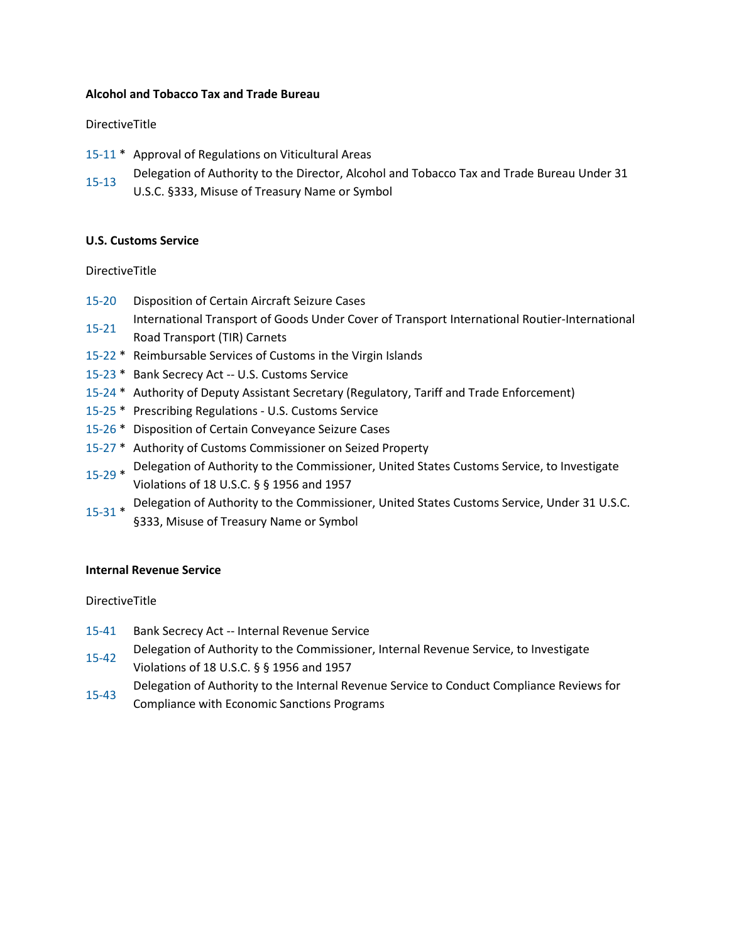#### **Alcohol and Tobacco Tax and Trade Bureau**

#### DirectiveTitle

- [15-11](https://www.treasury.gov/about/role-of-treasury/orders-directives/Pages/td15-11.aspx) \* Approval of Regulations on Viticultural Areas
- [15-13](https://www.treasury.gov/about/role-of-treasury/orders-directives/Pages/td15-13.aspx) Delegation of Authority to the Director, Alcohol and Tobacco Tax and Trade Bureau Under 31
	- U.S.C. §333, Misuse of Treasury Name or Symbol

#### **U.S. Customs Service**

#### DirectiveTitle

- [15-20](https://www.treasury.gov/about/role-of-treasury/orders-directives/Pages/td15-20.aspx) Disposition of Certain Aircraft Seizure Cases
- [15-21](https://www.treasury.gov/about/role-of-treasury/orders-directives/Pages/td15-21.aspx) International Transport of Goods Under Cover of Transport International Routier-International Road Transport (TIR) Carnets
- [15-22](https://www.treasury.gov/about/role-of-treasury/orders-directives/Pages/td15-22.aspx) \* Reimbursable Services of Customs in the Virgin Islands
- [15-23](https://www.treasury.gov/about/role-of-treasury/orders-directives/Pages/td15-23.aspx) \* Bank Secrecy Act -- U.S. Customs Service
- [15-24](https://www.treasury.gov/about/role-of-treasury/orders-directives/Pages/td15-24.aspx) \* Authority of Deputy Assistant Secretary (Regulatory, Tariff and Trade Enforcement)
- [15-25](https://www.treasury.gov/about/role-of-treasury/orders-directives/Pages/td15-25.aspx) \* Prescribing Regulations U.S. Customs Service
- [15-26](https://www.treasury.gov/about/role-of-treasury/orders-directives/Pages/td15-26.aspx) \* Disposition of Certain Conveyance Seizure Cases
- [15-27](https://www.treasury.gov/about/role-of-treasury/orders-directives/Pages/td15-27.aspx) \* Authority of Customs Commissioner on Seized Property
- [15-29](https://www.treasury.gov/about/role-of-treasury/orders-directives/Pages/td15-29.aspx) \* Delegation of Authority to the Commissioner, United States Customs Service, to Investigate Violations of 18 U.S.C. § § 1956 and 1957
- [15-31](https://www.treasury.gov/about/role-of-treasury/orders-directives/Pages/td15-31.aspx) \* Delegation of Authority to the Commissioner, United States Customs Service, Under 31 U.S.C.
	- §333, Misuse of Treasury Name or Symbol

#### **Internal Revenue Service**

- [15-41](https://www.treasury.gov/about/role-of-treasury/orders-directives/Pages/td15-41.aspx) Bank Secrecy Act -- Internal Revenue Service
- [15-42](https://www.treasury.gov/about/role-of-treasury/orders-directives/Pages/td15-42.aspx) Delegation of Authority to the Commissioner, Internal Revenue Service, to Investigate Violations of 18 U.S.C. § § 1956 and 1957
- [15-43](https://www.treasury.gov/about/role-of-treasury/orders-directives/Pages/td15-43.aspx) Delegation of Authority to the Internal Revenue Service to Conduct Compliance Reviews for Compliance with Economic Sanctions Programs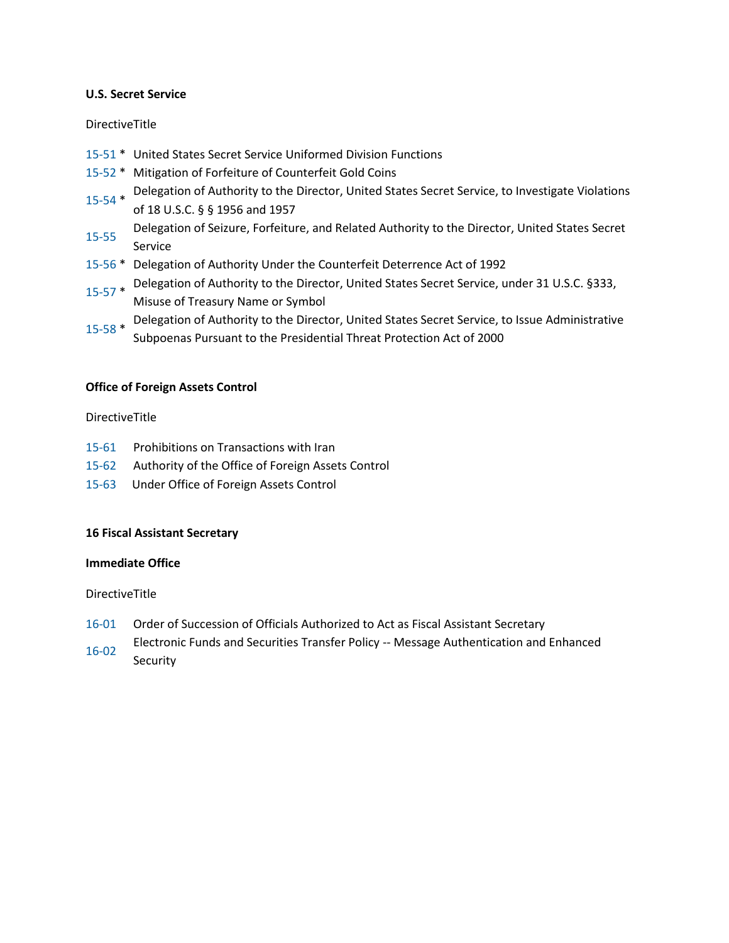### **U.S. Secret Service**

## DirectiveTitle

- [15-51](https://www.treasury.gov/about/role-of-treasury/orders-directives/Pages/td15-51.aspx) \* United States Secret Service Uniformed Division Functions
- [15-52](https://www.treasury.gov/about/role-of-treasury/orders-directives/Pages/td15-52.aspx) \* Mitigation of Forfeiture of Counterfeit Gold Coins
- [15-54](https://www.treasury.gov/about/role-of-treasury/orders-directives/Pages/td15-54.aspx) \* Delegation of Authority to the Director, United States Secret Service, to Investigate Violations of 18 U.S.C. § § 1956 and 1957
- [15-55](https://www.treasury.gov/about/role-of-treasury/orders-directives/Pages/td15-55.aspx) Delegation of Seizure, Forfeiture, and Related Authority to the Director, United States Secret Service
- [15-56](https://www.treasury.gov/about/role-of-treasury/orders-directives/Pages/td15-56.aspx) \* Delegation of Authority Under the Counterfeit Deterrence Act of 1992
- [15-57](https://www.treasury.gov/about/role-of-treasury/orders-directives/Pages/td15-57.aspx) \* Delegation of Authority to the Director, United States Secret Service, under 31 U.S.C. §333, Misuse of Treasury Name or Symbol
- [15-58](https://www.treasury.gov/about/role-of-treasury/orders-directives/Pages/td15-58.aspx) \* Delegation of Authority to the Director, United States Secret Service, to Issue Administrative Subpoenas Pursuant to the Presidential Threat Protection Act of 2000

## **Office of Foreign Assets Control**

#### DirectiveTitle

- [15-61](https://www.treasury.gov/about/role-of-treasury/orders-directives/Pages/td15-61.aspx) Prohibitions on Transactions with Iran
- [15-62](https://www.treasury.gov/about/role-of-treasury/orders-directives/Pages/td15-62.aspx) Authority of the Office of Foreign Assets Control
- [15-63](https://www.treasury.gov/about/role-of-treasury/orders-directives/Pages/td15-63.aspx) Under Office of Foreign Assets Control

#### **16 Fiscal Assistant Secretary**

#### **Immediate Office**

- [16-01](https://www.treasury.gov/about/role-of-treasury/orders-directives/Pages/td16-01.aspx) Order of Succession of Officials Authorized to Act as Fiscal Assistant Secretary
- [16-02](https://www.treasury.gov/about/role-of-treasury/orders-directives/Pages/td16-02.aspx) Electronic Funds and Securities Transfer Policy -- Message Authentication and Enhanced Security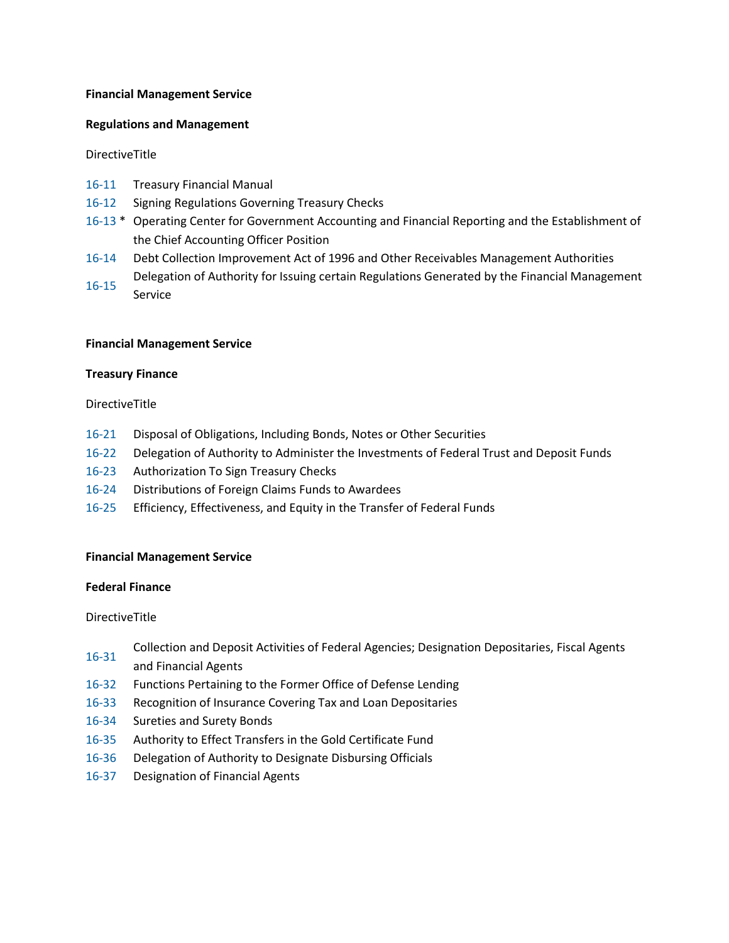#### **Financial Management Service**

#### **Regulations and Management**

DirectiveTitle

- [16-11](https://www.treasury.gov/about/role-of-treasury/orders-directives/Pages/td16-11.aspx) Treasury Financial Manual
- [16-12](https://www.treasury.gov/about/role-of-treasury/orders-directives/Pages/td16-12.aspx) Signing Regulations Governing Treasury Checks
- [16-13](https://www.treasury.gov/about/role-of-treasury/orders-directives/Pages/td16-13.aspx) \* Operating Center for Government Accounting and Financial Reporting and the Establishment of the Chief Accounting Officer Position
- [16-14](https://www.treasury.gov/about/role-of-treasury/orders-directives/Pages/td16-14.aspx) Debt Collection Improvement Act of 1996 and Other Receivables Management Authorities [16-15](https://www.treasury.gov/about/role-of-treasury/orders-directives/Pages/td16-15.aspx) Delegation of Authority for Issuing certain Regulations Generated by the Financial Management
- Service

#### **Financial Management Service**

#### **Treasury Finance**

#### DirectiveTitle

- [16-21](https://www.treasury.gov/about/role-of-treasury/orders-directives/Pages/td16-21.aspx) Disposal of Obligations, Including Bonds, Notes or Other Securities
- [16-22](https://www.treasury.gov/about/role-of-treasury/orders-directives/Pages/td16-22.aspx) Delegation of Authority to Administer the Investments of Federal Trust and Deposit Funds
- [16-23](https://www.treasury.gov/about/role-of-treasury/orders-directives/Pages/td16-23.aspx) Authorization To Sign Treasury Checks
- [16-24](https://www.treasury.gov/about/role-of-treasury/orders-directives/Pages/td16-24.aspx) Distributions of Foreign Claims Funds to Awardees
- [16-25](https://www.treasury.gov/about/role-of-treasury/orders-directives/Pages/td16-25.aspx) Efficiency, Effectiveness, and Equity in the Transfer of Federal Funds

#### **Financial Management Service**

#### **Federal Finance**

- [16-31](https://www.treasury.gov/about/role-of-treasury/orders-directives/Pages/td16-31.aspx) Collection and Deposit Activities of Federal Agencies; Designation Depositaries, Fiscal Agents and Financial Agents
- [16-32](https://www.treasury.gov/about/role-of-treasury/orders-directives/Pages/td16-32.aspx) Functions Pertaining to the Former Office of Defense Lending
- [16-33](https://www.treasury.gov/about/role-of-treasury/orders-directives/Pages/td16-33.aspx) Recognition of Insurance Covering Tax and Loan Depositaries
- [16-34](https://www.treasury.gov/about/role-of-treasury/orders-directives/Pages/td16-34.aspx) Sureties and Surety Bonds
- [16-35](https://www.treasury.gov/about/role-of-treasury/orders-directives/Pages/td16-35.aspx) Authority to Effect Transfers in the Gold Certificate Fund
- [16-36](https://www.treasury.gov/about/role-of-treasury/orders-directives/Pages/td16-36.aspx) Delegation of Authority to Designate Disbursing Officials
- [16-37](https://www.treasury.gov/about/role-of-treasury/orders-directives/Pages/td16-37.aspx) Designation of Financial Agents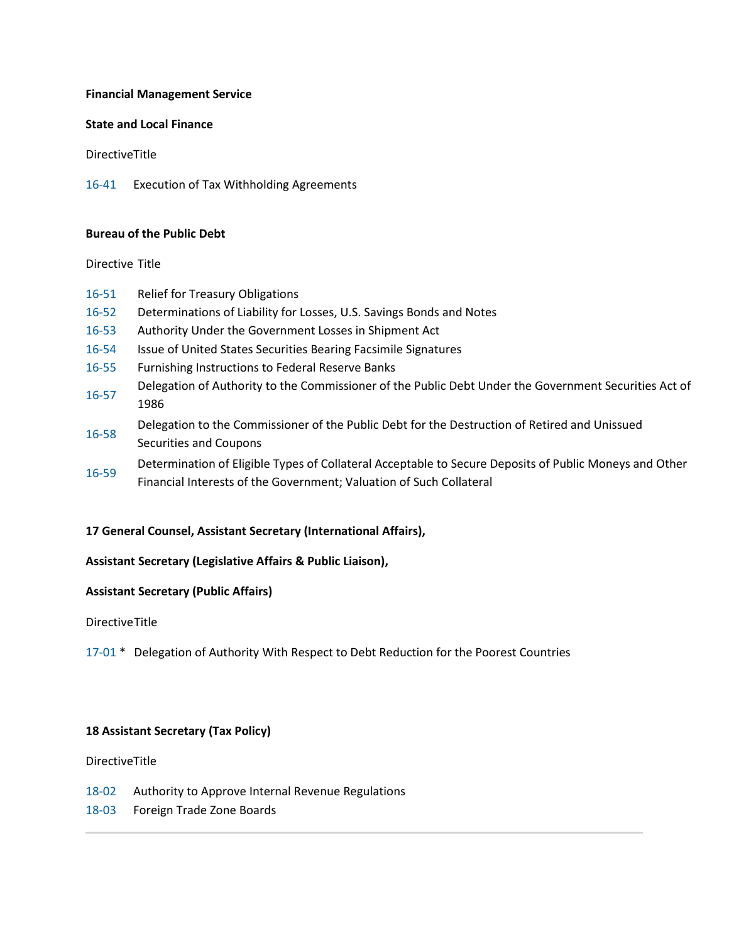#### **Financial Management Service**

### **State and Local Finance**

DirectiveTitle

[16-41](https://www.treasury.gov/about/role-of-treasury/orders-directives/Pages/td16-41.aspx) Execution of Tax Withholding Agreements

#### **Bureau of the Public Debt**

#### Directive Title

- [16-51](https://www.treasury.gov/about/role-of-treasury/orders-directives/Pages/td16-51.aspx) Relief for Treasury Obligations
- [16-52](https://www.treasury.gov/about/role-of-treasury/orders-directives/Pages/td16-52.aspx) Determinations of Liability for Losses, U.S. Savings Bonds and Notes
- [16-53](https://www.treasury.gov/about/role-of-treasury/orders-directives/Pages/td16-53.aspx) Authority Under the Government Losses in Shipment Act
- [16-54](https://www.treasury.gov/about/role-of-treasury/orders-directives/Pages/td16-54.aspx) Issue of United States Securities Bearing Facsimile Signatures
- [16-55](https://www.treasury.gov/about/role-of-treasury/orders-directives/Pages/td16-55.aspx) Furnishing Instructions to Federal Reserve Banks
- Delegation of Authority to the Commissioner of the Public Debt Under the Government Securities Act of<br> [16-57](https://www.treasury.gov/about/role-of-treasury/orders-directives/Pages/td16-57.aspx) 1986
- [16-58](https://www.treasury.gov/about/role-of-treasury/orders-directives/Pages/td16-58.aspx) Delegation to the Commissioner of the Public Debt for the Destruction of Retired and Unissued
- Securities and Coupons
- [16-59](https://www.treasury.gov/about/role-of-treasury/orders-directives/Pages/td16-59.aspx) Determination of Eligible Types of Collateral Acceptable to Secure Deposits of Public Moneys and Other Financial Interests of the Government; Valuation of Such Collateral

## **17 General Counsel, Assistant Secretary (International Affairs),**

## **Assistant Secretary (Legislative Affairs & Public Liaison),**

#### **Assistant Secretary (Public Affairs)**

DirectiveTitle

[17-01](https://www.treasury.gov/about/role-of-treasury/orders-directives/Pages/td17-01.aspx) \* Delegation of Authority With Respect to Debt Reduction for the Poorest Countries

## **18 Assistant Secretary (Tax Policy)**

- [18-02](https://www.treasury.gov/about/role-of-treasury/orders-directives/Pages/td18-02.aspx) Authority to Approve Internal Revenue Regulations
- [18-03](https://www.treasury.gov/about/role-of-treasury/orders-directives/Pages/td18-03.aspx) Foreign Trade Zone Boards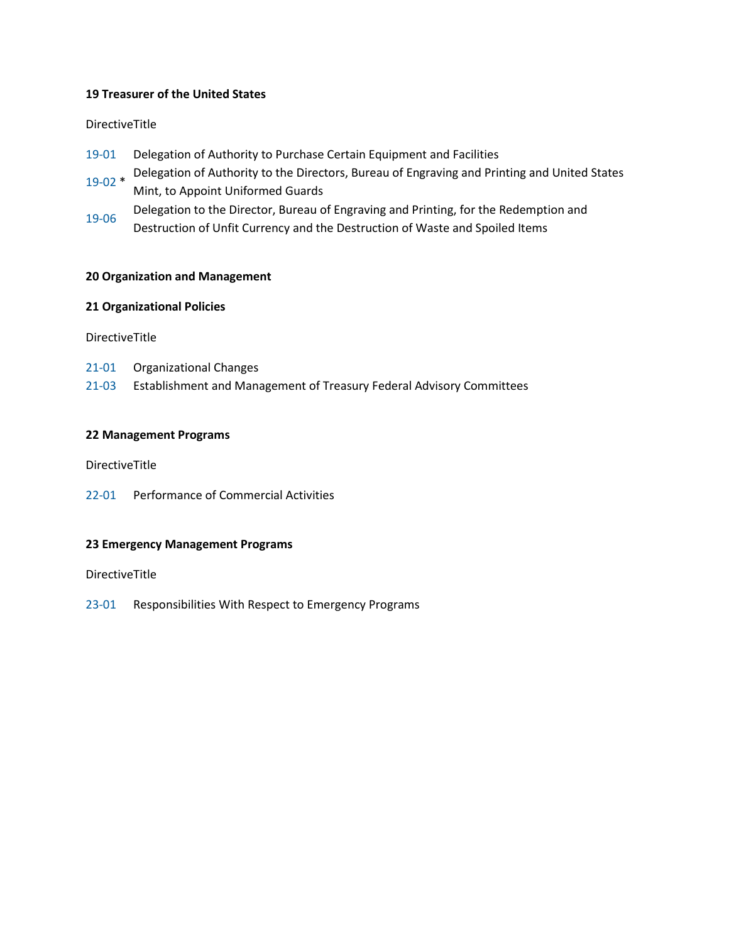#### **19 Treasurer of the United States**

#### DirectiveTitle

- [19-01](https://www.treasury.gov/about/role-of-treasury/orders-directives/Pages/td19-01.aspx) Delegation of Authority to Purchase Certain Equipment and Facilities
- [19-02](https://www.treasury.gov/about/role-of-treasury/orders-directives/Pages/td19-02.aspx) \* Delegation of Authority to the Directors, Bureau of Engraving and Printing and United States Mint, to Appoint Uniformed Guards
- [19-06](https://www.treasury.gov/about/role-of-treasury/orders-directives/Pages/td19-06.aspx) Delegation to the Director, Bureau of Engraving and Printing, for the Redemption and
- Destruction of Unfit Currency and the Destruction of Waste and Spoiled Items

#### **20 Organization and Management**

#### **21 Organizational Policies**

DirectiveTitle

[21-01](https://www.treasury.gov/about/role-of-treasury/orders-directives/Pages/td21-01.aspx) Organizational Changes

[21-03](https://www.treasury.gov/about/role-of-treasury/orders-directives/Pages/td21-03.aspx) Establishment and Management of Treasury Federal Advisory Committees

#### **22 Management Programs**

DirectiveTitle

[22-01](https://www.treasury.gov/about/role-of-treasury/orders-directives/Pages/td22-01.aspx) Performance of Commercial Activities

#### **23 Emergency Management Programs**

DirectiveTitle

[23-01](https://www.treasury.gov/about/role-of-treasury/orders-directives/Pages/td23-01.aspx) Responsibilities With Respect to Emergency Programs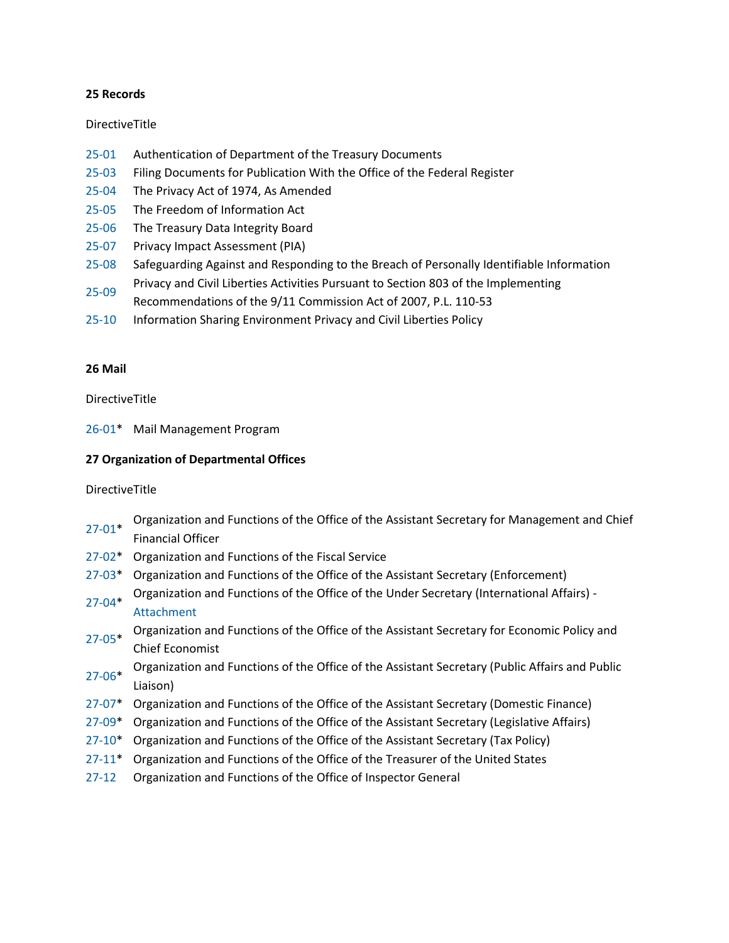#### **25 Records**

#### DirectiveTitle

- [25-01](https://www.treasury.gov/about/role-of-treasury/orders-directives/Pages/td25-01.aspx) Authentication of Department of the Treasury Documents
- [25-03](https://www.treasury.gov/about/role-of-treasury/orders-directives/Pages/td25-03.aspx) Filing Documents for Publication With the Office of the Federal Register
- [25-04](https://www.treasury.gov/about/role-of-treasury/orders-directives/Pages/td25-04.aspx) The Privacy Act of 1974, As Amended
- [25-05](https://www.treasury.gov/about/role-of-treasury/orders-directives/Pages/td25-05.aspx) The Freedom of Information Act
- [25-06](https://www.treasury.gov/about/role-of-treasury/orders-directives/Pages/td25-06.aspx) The Treasury Data Integrity Board
- [25-07](https://www.treasury.gov/about/role-of-treasury/orders-directives/Pages/td25-07.aspx) Privacy Impact Assessment (PIA)
- [25-08](https://www.treasury.gov/about/role-of-treasury/orders-directives/Pages/td25-08.aspx) Safeguarding Against and Responding to the Breach of Personally Identifiable Information
- [25-09](https://www.treasury.gov/about/role-of-treasury/orders-directives/Pages/td25-09.aspx) Privacy and Civil Liberties Activities Pursuant to Section 803 of the Implementing
- Recommendations of the 9/11 Commission Act of 2007, P.L. 110-53
- [25-10](https://www.treasury.gov/about/role-of-treasury/orders-directives/Pages/td25-10.aspx) Information Sharing Environment Privacy and Civil Liberties Policy

#### **26 Mail**

DirectiveTitle

[26-01\\*](https://www.treasury.gov/about/role-of-treasury/orders-directives/Pages/td26-01.aspx) Mail Management Program

## **27 Organization of Departmental Offices**

- [27-01\\*](https://www.treasury.gov/about/role-of-treasury/orders-directives/Pages/td27-01.aspx) Organization and Functions of the Office of the Assistant Secretary for Management and Chief Financial Officer
- [27-02\\*](https://www.treasury.gov/about/role-of-treasury/orders-directives/Pages/td27-02.aspx) Organization and Functions of the Fiscal Service
- [27-03\\*](https://www.treasury.gov/about/role-of-treasury/orders-directives/Pages/td27-03.aspx) Organization and Functions of the Office of the Assistant Secretary (Enforcement)
- [27-04\\*](https://www.treasury.gov/about/role-of-treasury/orders-directives/Pages/td27-04.aspx) Organization and Functions of the Office of the Under Secretary (International Affairs) [Attachment](https://www.treasury.gov/about/role-of-treasury/orders-directives/Documents/td27-04-attach.pdf)
- [27-05\\*](https://www.treasury.gov/about/role-of-treasury/orders-directives/Pages/td27-05.aspx) Organization and Functions of the Office of the Assistant Secretary for Economic Policy and Chief Economist
- [27-06\\*](https://www.treasury.gov/about/role-of-treasury/orders-directives/Pages/td27-06.aspx) Organization and Functions of the Office of the Assistant Secretary (Public Affairs and Public Liaison)
- [27-07\\*](https://www.treasury.gov/about/role-of-treasury/orders-directives/Pages/td27-07.aspx) Organization and Functions of the Office of the Assistant Secretary (Domestic Finance)
- [27-09\\*](https://www.treasury.gov/about/role-of-treasury/orders-directives/Pages/td27-09.aspx) Organization and Functions of the Office of the Assistant Secretary (Legislative Affairs)
- [27-10\\*](https://www.treasury.gov/about/role-of-treasury/orders-directives/Pages/td27-10.aspx) Organization and Functions of the Office of the Assistant Secretary (Tax Policy)
- [27-11\\*](https://www.treasury.gov/about/role-of-treasury/orders-directives/Pages/td27-11.aspx) Organization and Functions of the Office of the Treasurer of the United States
- [27-12](https://www.treasury.gov/about/role-of-treasury/orders-directives/Pages/td27-12.aspx) Organization and Functions of the Office of Inspector General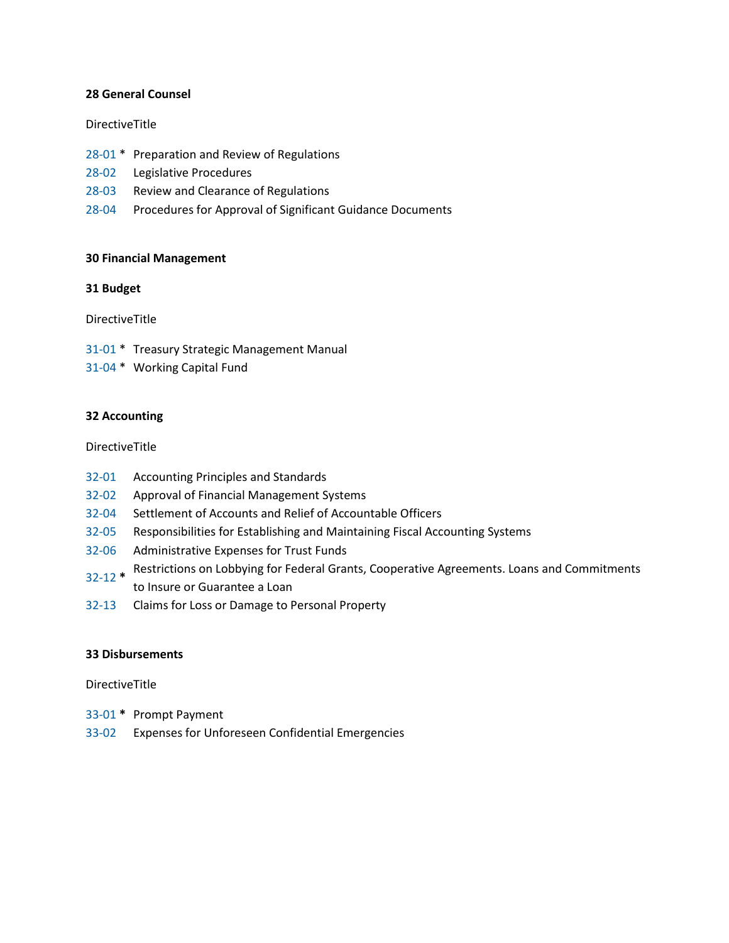#### **28 General Counsel**

#### DirectiveTitle

- [28-01](https://www.treasury.gov/about/role-of-treasury/orders-directives/Pages/td28-01.aspx) \* Preparation and Review of Regulations
- [28-02](https://www.treasury.gov/about/role-of-treasury/orders-directives/Pages/td28-02.aspx) Legislative Procedures
- [28-03](https://www.treasury.gov/about/role-of-treasury/orders-directives/Pages/td28-03.aspx) Review and Clearance of Regulations
- [28-04](https://www.treasury.gov/about/role-of-treasury/orders-directives/Pages/td28-04.aspx) Procedures for Approval of Significant Guidance Documents

#### **30 Financial Management**

#### **31 Budget**

DirectiveTitle

[31-01](https://www.treasury.gov/about/role-of-treasury/orders-directives/Pages/td31-01.aspx) \* Treasury Strategic Management Manual

[31-04](https://www.treasury.gov/about/role-of-treasury/orders-directives/Pages/td31-04.aspx) \* Working Capital Fund

#### **32 Accounting**

#### DirectiveTitle

- [32-01](https://www.treasury.gov/about/role-of-treasury/orders-directives/Pages/td32-01.aspx) Accounting Principles and Standards
- [32-02](https://www.treasury.gov/about/role-of-treasury/orders-directives/Pages/td32-02.aspx) Approval of Financial Management Systems
- [32-04](https://www.treasury.gov/about/role-of-treasury/orders-directives/Pages/td32-04.aspx) Settlement of Accounts and Relief of Accountable Officers
- [32-05](https://www.treasury.gov/about/role-of-treasury/orders-directives/Pages/td32-05.aspx) Responsibilities for Establishing and Maintaining Fiscal Accounting Systems
- [32-06](https://www.treasury.gov/about/role-of-treasury/orders-directives/Pages/td32-06.aspx) Administrative Expenses for Trust Funds
- [32-12](https://www.treasury.gov/about/role-of-treasury/orders-directives/Pages/td32-12.aspx) **\*** Restrictions on Lobbying for Federal Grants, Cooperative Agreements. Loans and Commitments to Insure or Guarantee a Loan
- [32-13](https://www.treasury.gov/about/role-of-treasury/orders-directives/Pages/td32-13.aspx) Claims for Loss or Damage to Personal Property

#### **33 Disbursements**

- [33-01](https://www.treasury.gov/about/role-of-treasury/orders-directives/Pages/td33-01.aspx) **\*** Prompt Payment
- [33-02](https://www.treasury.gov/about/role-of-treasury/orders-directives/Pages/td33-02.aspx) Expenses for Unforeseen Confidential Emergencies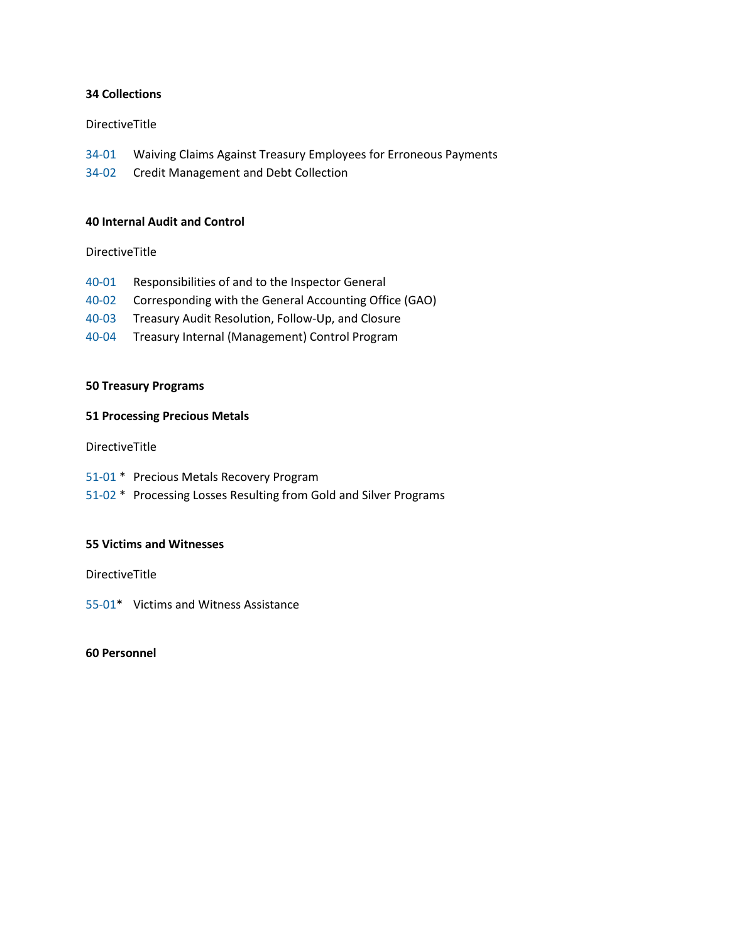#### **34 Collections**

#### DirectiveTitle

[34-01](https://www.treasury.gov/about/role-of-treasury/orders-directives/Pages/td34-01.aspx) Waiving Claims Against Treasury Employees for Erroneous Payments

[34-02](https://www.treasury.gov/about/role-of-treasury/orders-directives/Pages/td34-02.aspx) Credit Management and Debt Collection

#### **40 Internal Audit and Control**

DirectiveTitle

- [40-01](https://www.treasury.gov/about/role-of-treasury/orders-directives/Pages/td40-01.aspx) Responsibilities of and to the Inspector General
- [40-02](https://www.treasury.gov/about/role-of-treasury/orders-directives/Pages/td40-02.aspx) Corresponding with the General Accounting Office (GAO)
- [40-03](https://www.treasury.gov/about/role-of-treasury/orders-directives/Pages/td40-03.aspx) Treasury Audit Resolution, Follow-Up, and Closure
- [40-04](https://www.treasury.gov/about/role-of-treasury/orders-directives/Pages/td40-04.aspx) Treasury Internal (Management) Control Program

#### **50 Treasury Programs**

#### **51 Processing Precious Metals**

DirectiveTitle

- [51-01](https://www.treasury.gov/about/role-of-treasury/orders-directives/Pages/td51-01.aspx) \* Precious Metals Recovery Program
- [51-02](https://www.treasury.gov/about/role-of-treasury/orders-directives/Pages/td51-02.aspx) \* Processing Losses Resulting from Gold and Silver Programs

#### **55 Victims and Witnesses**

DirectiveTitle

[55-01\\*](https://www.treasury.gov/about/role-of-treasury/orders-directives/Pages/td55-01.aspx) Victims and Witness Assistance

#### **60 Personnel**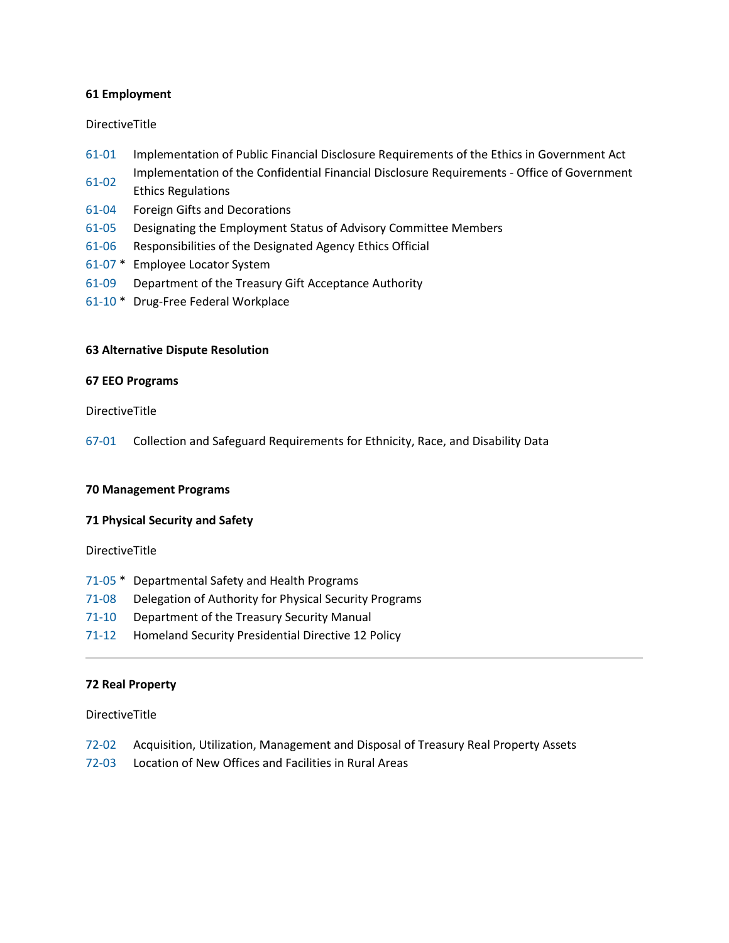#### **61 Employment**

#### DirectiveTitle

- [61-01](https://www.treasury.gov/about/role-of-treasury/orders-directives/Pages/td61-01.aspx) Implementation of Public Financial Disclosure Requirements of the Ethics in Government Act [61-02](https://www.treasury.gov/about/role-of-treasury/orders-directives/Pages/td61-02.aspx) Implementation of the Confidential Financial Disclosure Requirements - Office of Government
- Ethics Regulations
- [61-04](https://www.treasury.gov/about/role-of-treasury/orders-directives/Pages/td61-04.aspx) Foreign Gifts and Decorations
- [61-05](https://www.treasury.gov/about/role-of-treasury/orders-directives/Pages/td61-05.aspx) Designating the Employment Status of Advisory Committee Members
- [61-06](https://www.treasury.gov/about/role-of-treasury/orders-directives/Pages/td61-06.aspx) Responsibilities of the Designated Agency Ethics Official
- [61-07](https://www.treasury.gov/about/role-of-treasury/orders-directives/Pages/td61-07.aspx) \* Employee Locator System
- [61-09](https://www.treasury.gov/about/role-of-treasury/orders-directives/Pages/td61-09.aspx) Department of the Treasury Gift Acceptance Authority
- [61-10](https://www.treasury.gov/about/role-of-treasury/orders-directives/Pages/td61-10.aspx) \* Drug-Free Federal Workplace

#### **63 Alternative Dispute Resolution**

#### **67 EEO Programs**

#### DirectiveTitle

[67-01](https://www.treasury.gov/about/role-of-treasury/orders-directives/Pages/td67-01.aspx) Collection and Safeguard Requirements for Ethnicity, Race, and Disability Data

#### **70 Management Programs**

#### **71 Physical Security and Safety**

DirectiveTitle

- [71-05](https://www.treasury.gov/about/role-of-treasury/orders-directives/Pages/td71-05.aspx) \* Departmental Safety and Health Programs
- [71-08](https://www.treasury.gov/about/role-of-treasury/orders-directives/Pages/td71-08.aspx) Delegation of Authority for Physical Security Programs
- [71-10](https://www.treasury.gov/about/role-of-treasury/orders-directives/Pages/td71-10.aspx) Department of the Treasury Security Manual
- [71-12](https://www.treasury.gov/about/role-of-treasury/orders-directives/Pages/td71-12.aspx) Homeland Security Presidential Directive 12 Policy

#### **72 Real Property**

- [72-02](https://www.treasury.gov/about/role-of-treasury/orders-directives/Pages/td72-02.aspx) Acquisition, Utilization, Management and Disposal of Treasury Real Property Assets
- [72-03](https://www.treasury.gov/about/role-of-treasury/orders-directives/Pages/td72-03.aspx) Location of New Offices and Facilities in Rural Areas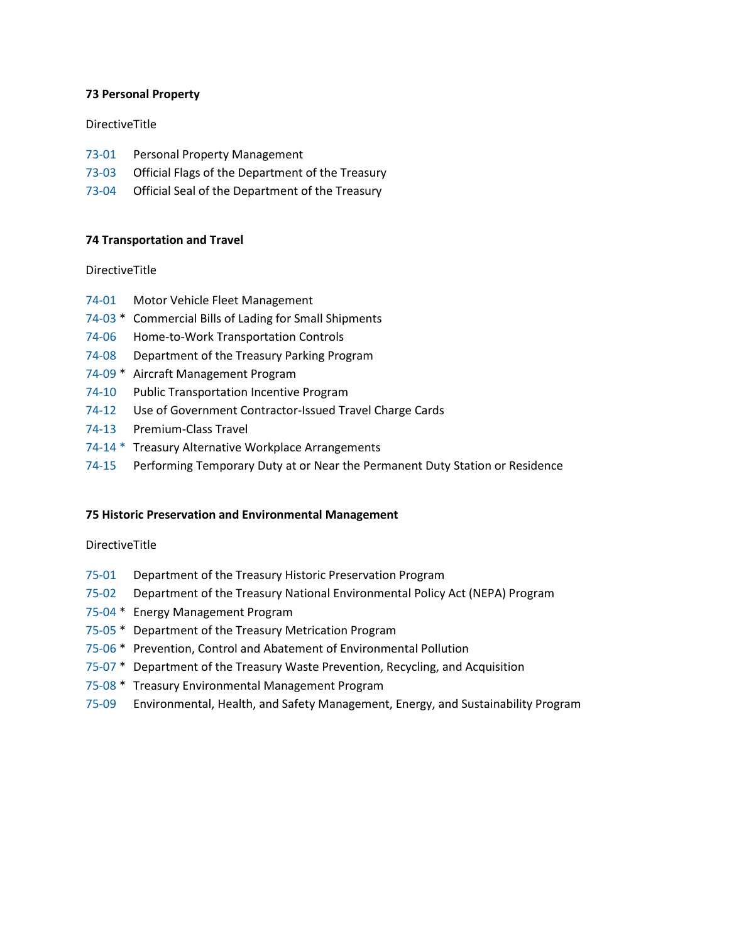#### **73 Personal Property**

#### DirectiveTitle

- [73-01](https://www.treasury.gov/about/role-of-treasury/orders-directives/Pages/td73-01.aspx) Personal Property Management
- [73-03](https://www.treasury.gov/about/role-of-treasury/orders-directives/Pages/td73-03.aspx) Official Flags of the Department of the Treasury
- [73-04](https://www.treasury.gov/about/role-of-treasury/orders-directives/Pages/td73-04.aspx) Official Seal of the Department of the Treasury

#### **74 Transportation and Travel**

#### DirectiveTitle

- [74-01](https://www.treasury.gov/about/role-of-treasury/orders-directives/Pages/td74-01.aspx) Motor Vehicle Fleet Management
- [74-03](https://www.treasury.gov/about/role-of-treasury/orders-directives/Pages/td74-03.aspx) \* Commercial Bills of Lading for Small Shipments
- [74-06](https://www.treasury.gov/about/role-of-treasury/orders-directives/Pages/td74-06.aspx) Home-to-Work Transportation Controls
- [74-08](https://www.treasury.gov/about/role-of-treasury/orders-directives/Pages/td74-08.aspx) Department of the Treasury Parking Program
- [74-09](https://www.treasury.gov/about/role-of-treasury/orders-directives/Pages/td74-09.aspx) \* Aircraft Management Program
- [74-10](https://www.treasury.gov/about/role-of-treasury/orders-directives/Pages/td74-10.aspx) Public Transportation Incentive Program
- [74-12](https://www.treasury.gov/about/role-of-treasury/orders-directives/Pages/td74-12.aspx) Use of Government Contractor-Issued Travel Charge Cards
- [74-13](https://www.treasury.gov/about/role-of-treasury/orders-directives/Pages/td74-13.aspx) Premium-Class Travel
- [74-14](https://www.treasury.gov/about/role-of-treasury/orders-directives/Pages/td74-14.aspx) \* Treasury Alternative Workplace Arrangements
- [74-15](https://www.treasury.gov/about/role-of-treasury/orders-directives/Pages/td74-15.aspx) Performing Temporary Duty at or Near the Permanent Duty Station or Residence

#### **75 Historic Preservation and Environmental Management**

- [75-01](https://www.treasury.gov/about/role-of-treasury/orders-directives/Pages/td75-01.aspx) Department of the Treasury Historic Preservation Program
- [75-02](https://www.treasury.gov/about/role-of-treasury/orders-directives/Pages/td75-02.aspx) Department of the Treasury National Environmental Policy Act (NEPA) Program
- [75-04](https://www.treasury.gov/about/role-of-treasury/orders-directives/Pages/td75-04.aspx) \* Energy Management Program
- [75-05](https://www.treasury.gov/about/role-of-treasury/orders-directives/Pages/td75-05.aspx) \* Department of the Treasury Metrication Program
- [75-06](https://www.treasury.gov/about/role-of-treasury/orders-directives/Pages/td75-06.aspx) \* Prevention, Control and Abatement of Environmental Pollution
- [75-07](https://www.treasury.gov/about/role-of-treasury/orders-directives/Pages/td75-07.aspx) \* Department of the Treasury Waste Prevention, Recycling, and Acquisition
- [75-08](https://www.treasury.gov/about/role-of-treasury/orders-directives/Pages/td75-08.aspx) \* Treasury Environmental Management Program
- [75-09](https://www.treasury.gov/about/role-of-treasury/orders-directives/Pages/td75-09.aspx) Environmental, Health, and Safety Management, Energy, and Sustainability Program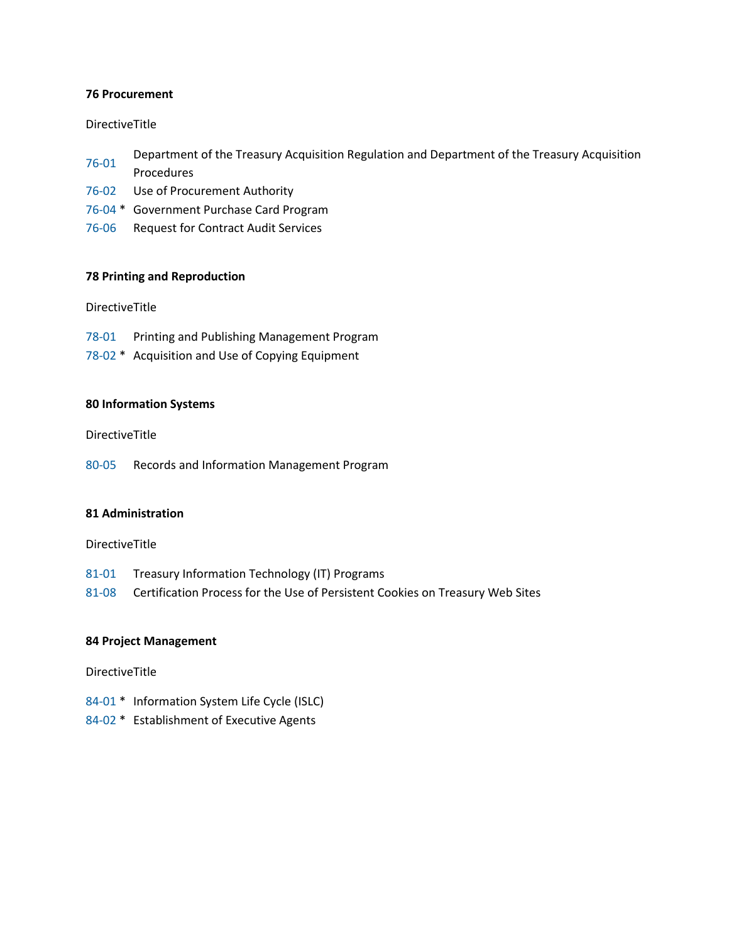#### **76 Procurement**

#### DirectiveTitle

- [76-01](https://www.treasury.gov/about/role-of-treasury/orders-directives/Pages/td76-01.aspx) Department of the Treasury Acquisition Regulation and Department of the Treasury Acquisition Procedures
- [76-02](https://www.treasury.gov/about/role-of-treasury/orders-directives/Pages/td76-02.aspx) Use of Procurement Authority
- [76-04](https://www.treasury.gov/about/role-of-treasury/orders-directives/Pages/td76-04.aspx) \* Government Purchase Card Program
- [76-06](https://www.treasury.gov/about/role-of-treasury/orders-directives/Pages/td76-06.aspx) Request for Contract Audit Services

#### **78 Printing and Reproduction**

DirectiveTitle

- [78-01](https://www.treasury.gov/about/role-of-treasury/orders-directives/Pages/td78-01.aspx) Printing and Publishing Management Program
- [78-02](https://www.treasury.gov/about/role-of-treasury/orders-directives/Pages/td78-02.aspx) \* Acquisition and Use of Copying Equipment

#### **80 Information Systems**

DirectiveTitle

[80-05](https://www.treasury.gov/about/role-of-treasury/orders-directives/Pages/td80-05.aspx) Records and Information Management Program

#### **81 Administration**

DirectiveTitle

- [81-01](https://www.treasury.gov/about/role-of-treasury/orders-directives/Pages/td81-01.aspx) Treasury Information Technology (IT) Programs
- [81-08](https://www.treasury.gov/about/role-of-treasury/orders-directives/Pages/td81-08.aspx) Certification Process for the Use of Persistent Cookies on Treasury Web Sites

#### **84 Project Management**

- [84-01](https://www.treasury.gov/about/role-of-treasury/orders-directives/Pages/td84-01.aspx) \* Information System Life Cycle (ISLC)
- [84-02](https://www.treasury.gov/about/role-of-treasury/orders-directives/Pages/td84-02.aspx) \* Establishment of Executive Agents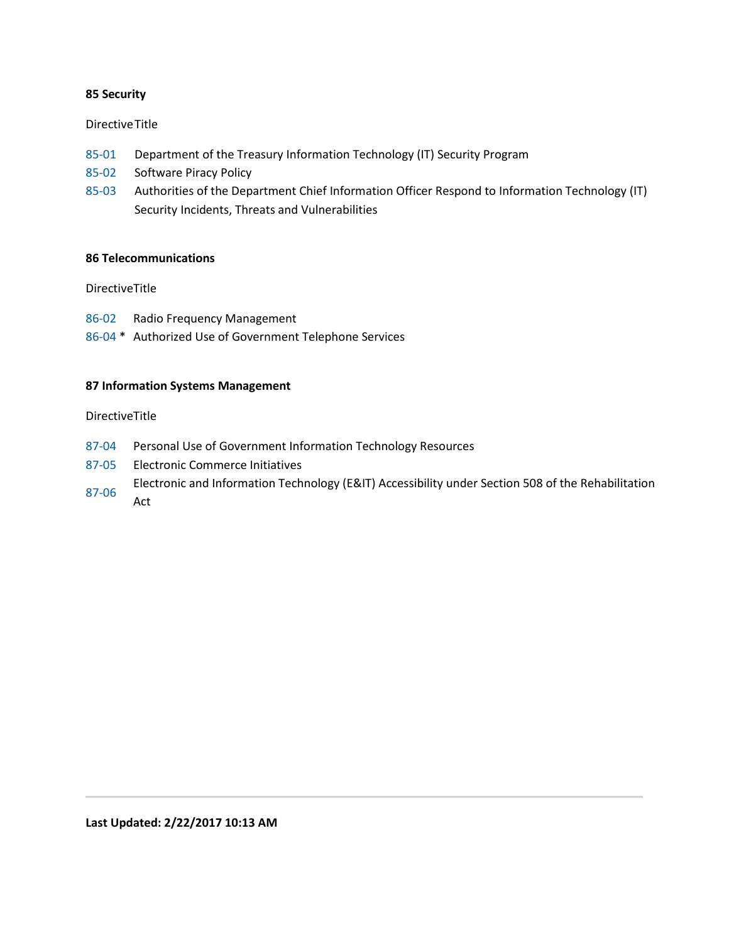#### **85 Security**

#### Directive Title

- [85-01](https://www.treasury.gov/about/role-of-treasury/orders-directives/Pages/td85-01.aspx) Department of the Treasury Information Technology (IT) Security Program
- [85-02](https://www.treasury.gov/about/role-of-treasury/orders-directives/Pages/td85-02.aspx) Software Piracy Policy
- [85-03](https://www.treasury.gov/about/role-of-treasury/orders-directives/Pages/td85-03.aspx) Authorities of the Department Chief Information Officer Respond to Information Technology (IT) Security Incidents, Threats and Vulnerabilities

## **86 Telecommunications**

#### DirectiveTitle

- [86-02](https://www.treasury.gov/about/role-of-treasury/orders-directives/Pages/td86-02.aspx) Radio Frequency Management
- [86-04](https://www.treasury.gov/about/role-of-treasury/orders-directives/Pages/td86-04.aspx) \* Authorized Use of Government Telephone Services

#### **87 Information Systems Management**

- [87-04](https://www.treasury.gov/about/role-of-treasury/orders-directives/Pages/td87-04.aspx) Personal Use of Government Information Technology Resources
- [87-05](https://www.treasury.gov/about/role-of-treasury/orders-directives/Pages/td87-05.aspx) Electronic Commerce Initiatives
- [87-06](https://www.treasury.gov/about/role-of-treasury/orders-directives/Pages/td87-06.aspx) Electronic and Information Technology (E&IT) Accessibility under Section 508 of the Rehabilitation
- Act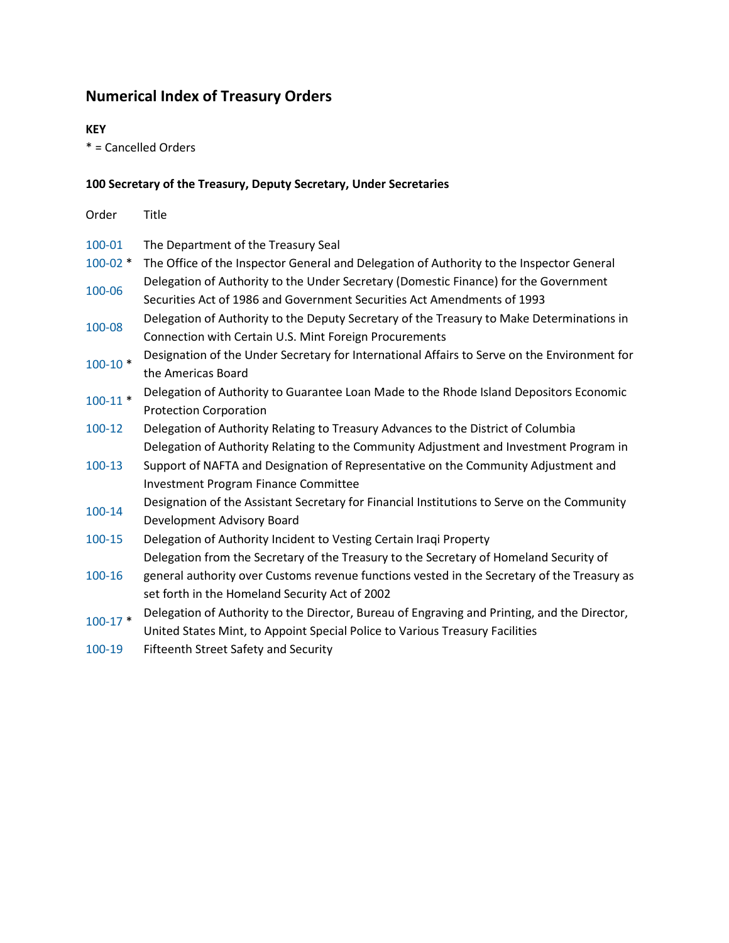# **Numerical Index of Treasury Orders**

## **KEY**

\* = Cancelled Orders

## **100 Secretary of the Treasury, Deputy Secretary, Under Secretaries**

| Order        | <b>Title</b>                                                                                 |
|--------------|----------------------------------------------------------------------------------------------|
| 100-01       | The Department of the Treasury Seal                                                          |
| $100 - 02$ * | The Office of the Inspector General and Delegation of Authority to the Inspector General     |
| 100-06       | Delegation of Authority to the Under Secretary (Domestic Finance) for the Government         |
|              | Securities Act of 1986 and Government Securities Act Amendments of 1993                      |
| 100-08       | Delegation of Authority to the Deputy Secretary of the Treasury to Make Determinations in    |
|              | Connection with Certain U.S. Mint Foreign Procurements                                       |
| $100 - 10*$  | Designation of the Under Secretary for International Affairs to Serve on the Environment for |
|              | the Americas Board                                                                           |
| $100-11$ *   | Delegation of Authority to Guarantee Loan Made to the Rhode Island Depositors Economic       |
|              | <b>Protection Corporation</b>                                                                |
| 100-12       | Delegation of Authority Relating to Treasury Advances to the District of Columbia            |
|              | Delegation of Authority Relating to the Community Adjustment and Investment Program in       |
| 100-13       | Support of NAFTA and Designation of Representative on the Community Adjustment and           |
|              | <b>Investment Program Finance Committee</b>                                                  |
| 100-14       | Designation of the Assistant Secretary for Financial Institutions to Serve on the Community  |
|              | Development Advisory Board                                                                   |
| 100-15       | Delegation of Authority Incident to Vesting Certain Iraqi Property                           |
|              | Delegation from the Secretary of the Treasury to the Secretary of Homeland Security of       |
| 100-16       | general authority over Customs revenue functions vested in the Secretary of the Treasury as  |
|              | set forth in the Homeland Security Act of 2002                                               |
| $100-17$ *   | Delegation of Authority to the Director, Bureau of Engraving and Printing, and the Director, |
|              | United States Mint, to Appoint Special Police to Various Treasury Facilities                 |

[100-19](https://www.treasury.gov/about/role-of-treasury/orders-directives/Pages/to100-19.aspx) Fifteenth Street Safety and Security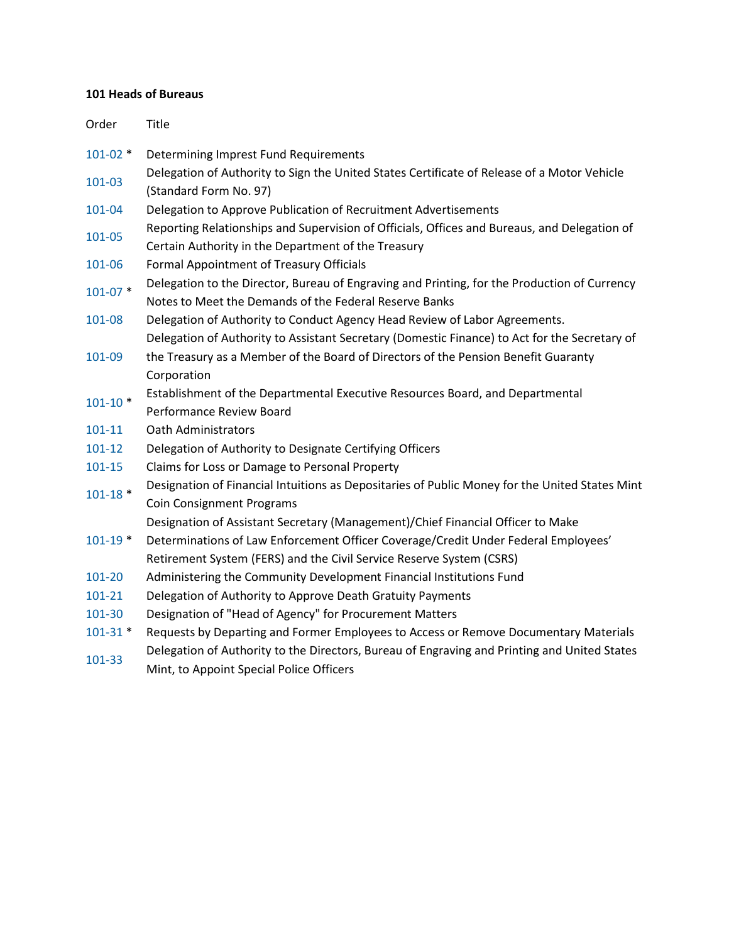## **101 Heads of Bureaus**

| Order        | Title                                                                                                                                                  |
|--------------|--------------------------------------------------------------------------------------------------------------------------------------------------------|
| $101 - 02$ * | Determining Imprest Fund Requirements                                                                                                                  |
| 101-03       | Delegation of Authority to Sign the United States Certificate of Release of a Motor Vehicle<br>(Standard Form No. 97)                                  |
| 101-04       | Delegation to Approve Publication of Recruitment Advertisements                                                                                        |
| 101-05       | Reporting Relationships and Supervision of Officials, Offices and Bureaus, and Delegation of<br>Certain Authority in the Department of the Treasury    |
| 101-06       | Formal Appointment of Treasury Officials                                                                                                               |
| $101 - 07$ * | Delegation to the Director, Bureau of Engraving and Printing, for the Production of Currency<br>Notes to Meet the Demands of the Federal Reserve Banks |
| 101-08       | Delegation of Authority to Conduct Agency Head Review of Labor Agreements.                                                                             |
|              | Delegation of Authority to Assistant Secretary (Domestic Finance) to Act for the Secretary of                                                          |
| 101-09       | the Treasury as a Member of the Board of Directors of the Pension Benefit Guaranty                                                                     |
|              | Corporation                                                                                                                                            |
| $101 - 10*$  | Establishment of the Departmental Executive Resources Board, and Departmental                                                                          |
|              | Performance Review Board                                                                                                                               |
| 101-11       | <b>Oath Administrators</b>                                                                                                                             |
| 101-12       | Delegation of Authority to Designate Certifying Officers                                                                                               |
| 101-15       | Claims for Loss or Damage to Personal Property                                                                                                         |
| $101 - 18$ * | Designation of Financial Intuitions as Depositaries of Public Money for the United States Mint                                                         |
|              | <b>Coin Consignment Programs</b>                                                                                                                       |
|              | Designation of Assistant Secretary (Management)/Chief Financial Officer to Make                                                                        |
| $101 - 19$ * | Determinations of Law Enforcement Officer Coverage/Credit Under Federal Employees'                                                                     |
|              | Retirement System (FERS) and the Civil Service Reserve System (CSRS)                                                                                   |
| 101-20       | Administering the Community Development Financial Institutions Fund                                                                                    |
| 101-21       | Delegation of Authority to Approve Death Gratuity Payments                                                                                             |
| 101-30       | Designation of "Head of Agency" for Procurement Matters                                                                                                |
| $101 - 31$ * | Requests by Departing and Former Employees to Access or Remove Documentary Materials                                                                   |
| 101-33       | Delegation of Authority to the Directors, Bureau of Engraving and Printing and United States<br>Mint, to Appoint Special Police Officers               |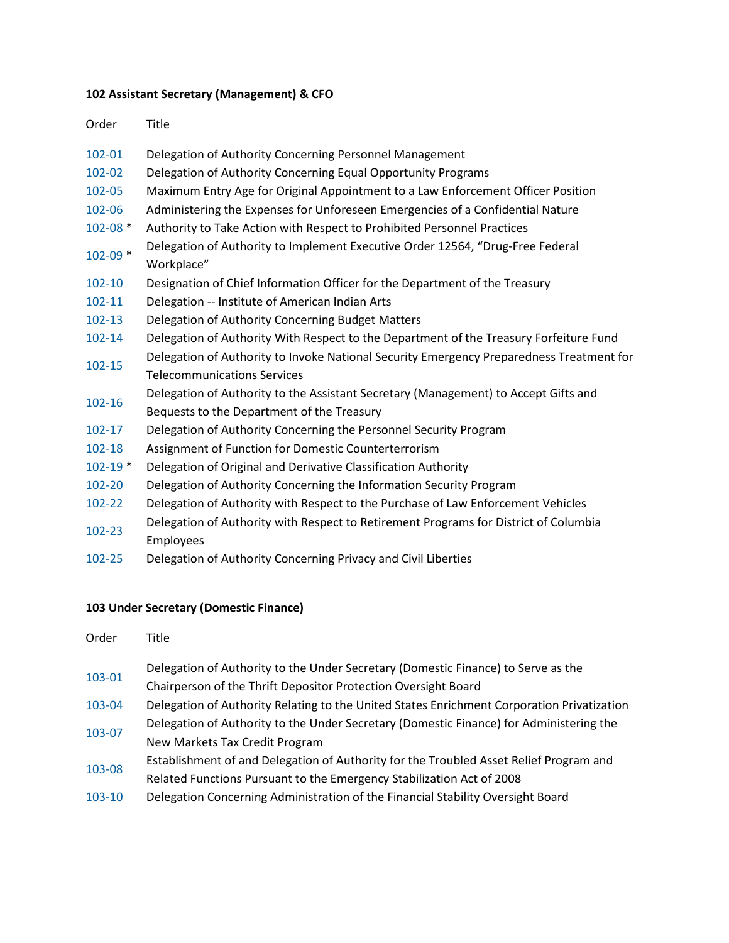# **102 Assistant Secretary (Management) & CFO**

| Order        | <b>Title</b>                                                                                      |
|--------------|---------------------------------------------------------------------------------------------------|
| 102-01       | Delegation of Authority Concerning Personnel Management                                           |
| 102-02       | Delegation of Authority Concerning Equal Opportunity Programs                                     |
| 102-05       | Maximum Entry Age for Original Appointment to a Law Enforcement Officer Position                  |
| 102-06       | Administering the Expenses for Unforeseen Emergencies of a Confidential Nature                    |
| $102 - 08$ * | Authority to Take Action with Respect to Prohibited Personnel Practices                           |
| $102 - 09$ * | Delegation of Authority to Implement Executive Order 12564, "Drug-Free Federal<br>Workplace"      |
| 102-10       | Designation of Chief Information Officer for the Department of the Treasury                       |
| 102-11       | Delegation -- Institute of American Indian Arts                                                   |
| 102-13       | Delegation of Authority Concerning Budget Matters                                                 |
| 102-14       | Delegation of Authority With Respect to the Department of the Treasury Forfeiture Fund            |
| 102-15       | Delegation of Authority to Invoke National Security Emergency Preparedness Treatment for          |
|              | <b>Telecommunications Services</b>                                                                |
| 102-16       | Delegation of Authority to the Assistant Secretary (Management) to Accept Gifts and               |
|              | Bequests to the Department of the Treasury                                                        |
| 102-17       | Delegation of Authority Concerning the Personnel Security Program                                 |
| 102-18       | Assignment of Function for Domestic Counterterrorism                                              |
| $102 - 19$ * | Delegation of Original and Derivative Classification Authority                                    |
| 102-20       | Delegation of Authority Concerning the Information Security Program                               |
| 102-22       | Delegation of Authority with Respect to the Purchase of Law Enforcement Vehicles                  |
| 102-23       | Delegation of Authority with Respect to Retirement Programs for District of Columbia<br>Employees |
| $\cdots$     |                                                                                                   |

[102-25](https://www.treasury.gov/about/role-of-treasury/orders-directives/Pages/to102-25.aspx) Delegation of Authority Concerning Privacy and Civil Liberties

# **103 Under Secretary (Domestic Finance)**

| Order  | Title                                                                                      |
|--------|--------------------------------------------------------------------------------------------|
| 103-01 | Delegation of Authority to the Under Secretary (Domestic Finance) to Serve as the          |
|        | Chairperson of the Thrift Depositor Protection Oversight Board                             |
| 103-04 | Delegation of Authority Relating to the United States Enrichment Corporation Privatization |
| 103-07 | Delegation of Authority to the Under Secretary (Domestic Finance) for Administering the    |
|        | New Markets Tax Credit Program                                                             |
| 103-08 | Establishment of and Delegation of Authority for the Troubled Asset Relief Program and     |
|        | Related Functions Pursuant to the Emergency Stabilization Act of 2008                      |
| 103-10 | Delegation Concerning Administration of the Financial Stability Oversight Board            |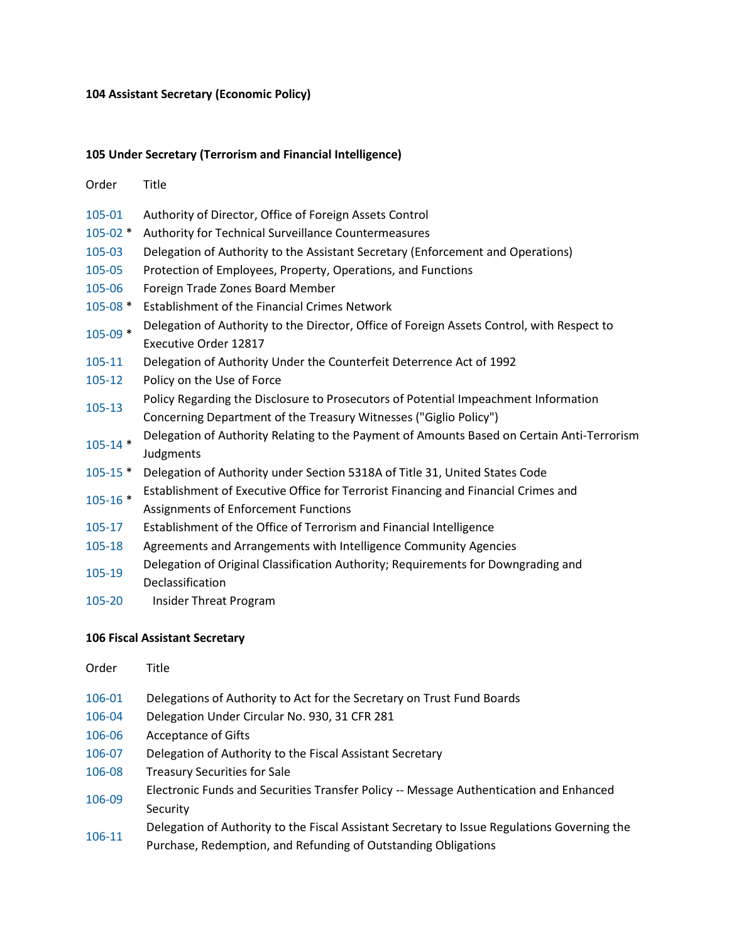## **104 Assistant Secretary (Economic Policy)**

## **105 Under Secretary (Terrorism and Financial Intelligence)**

| Order        | Title                                                                                                                      |
|--------------|----------------------------------------------------------------------------------------------------------------------------|
| 105-01       | Authority of Director, Office of Foreign Assets Control                                                                    |
| $105 - 02$ * | Authority for Technical Surveillance Countermeasures                                                                       |
| 105-03       | Delegation of Authority to the Assistant Secretary (Enforcement and Operations)                                            |
| 105-05       | Protection of Employees, Property, Operations, and Functions                                                               |
| 105-06       | Foreign Trade Zones Board Member                                                                                           |
| $105 - 08$ * | Establishment of the Financial Crimes Network                                                                              |
| $105 - 09$ * | Delegation of Authority to the Director, Office of Foreign Assets Control, with Respect to                                 |
|              | Executive Order 12817                                                                                                      |
| 105-11       | Delegation of Authority Under the Counterfeit Deterrence Act of 1992                                                       |
| $105 - 12$   | Policy on the Use of Force                                                                                                 |
| 105-13       | Policy Regarding the Disclosure to Prosecutors of Potential Impeachment Information                                        |
|              | Concerning Department of the Treasury Witnesses ("Giglio Policy")                                                          |
| $105 - 14$ * | Delegation of Authority Relating to the Payment of Amounts Based on Certain Anti-Terrorism<br>Judgments                    |
| $105 - 15$ * | Delegation of Authority under Section 5318A of Title 31, United States Code                                                |
| $105 - 16$ * | Establishment of Executive Office for Terrorist Financing and Financial Crimes and<br>Assignments of Enforcement Functions |
| 105-17       | Establishment of the Office of Terrorism and Financial Intelligence                                                        |
| 105-18       | Agreements and Arrangements with Intelligence Community Agencies                                                           |
| 105-19       | Delegation of Original Classification Authority; Requirements for Downgrading and<br>Declassification                      |

[105-20](https://www.treasury.gov/about/role-of-treasury/orders-directives/Pages/to105-20.aspx) Insider Threat Program

## **106 Fiscal Assistant Secretary**

| Order  | Title                                                                                        |
|--------|----------------------------------------------------------------------------------------------|
| 106-01 | Delegations of Authority to Act for the Secretary on Trust Fund Boards                       |
| 106-04 | Delegation Under Circular No. 930, 31 CFR 281                                                |
| 106-06 | <b>Acceptance of Gifts</b>                                                                   |
| 106-07 | Delegation of Authority to the Fiscal Assistant Secretary                                    |
| 106-08 | <b>Treasury Securities for Sale</b>                                                          |
| 106-09 | Electronic Funds and Securities Transfer Policy -- Message Authentication and Enhanced       |
|        | Security                                                                                     |
| 106-11 | Delegation of Authority to the Fiscal Assistant Secretary to Issue Regulations Governing the |
|        | Purchase, Redemption, and Refunding of Outstanding Obligations                               |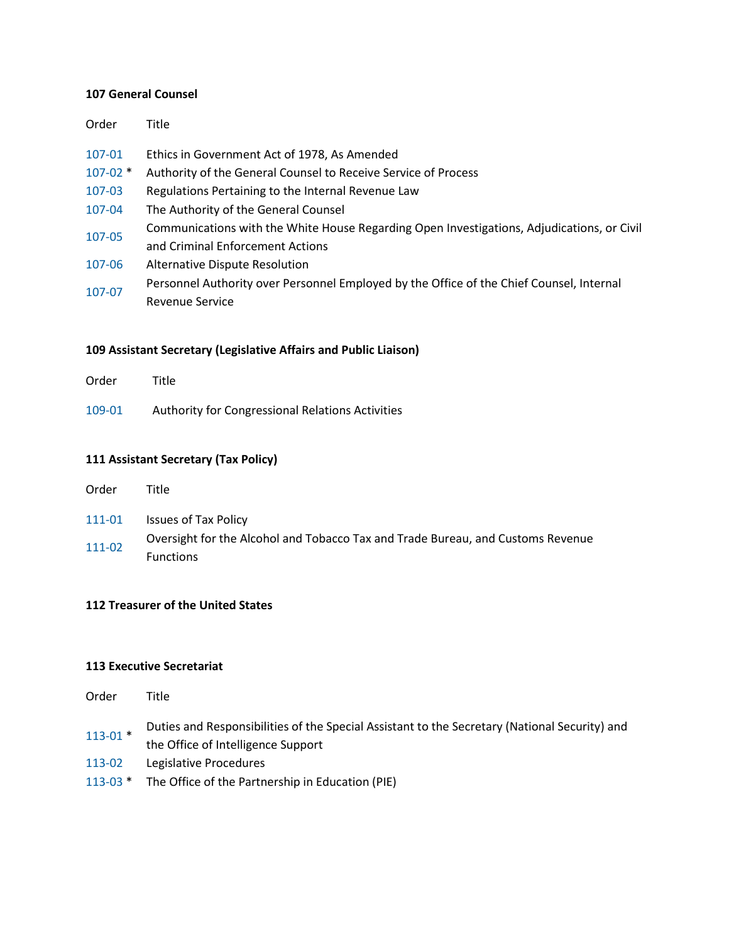#### **107 General Counsel**

| Order        | Title                                                                                      |
|--------------|--------------------------------------------------------------------------------------------|
| 107-01       | Ethics in Government Act of 1978, As Amended                                               |
| $107 - 02$ * | Authority of the General Counsel to Receive Service of Process                             |
| 107-03       | Regulations Pertaining to the Internal Revenue Law                                         |
| 107-04       | The Authority of the General Counsel                                                       |
| 107-05       | Communications with the White House Regarding Open Investigations, Adjudications, or Civil |
|              | and Criminal Enforcement Actions                                                           |
| 107-06       | Alternative Dispute Resolution                                                             |
| 107-07       | Personnel Authority over Personnel Employed by the Office of the Chief Counsel, Internal   |
|              | Revenue Service                                                                            |

#### **109 Assistant Secretary (Legislative Affairs and Public Liaison)**

| Order  | Title                                            |
|--------|--------------------------------------------------|
| 109-01 | Authority for Congressional Relations Activities |

#### **111 Assistant Secretary (Tax Policy)**

- [111-01](https://www.treasury.gov/about/role-of-treasury/orders-directives/Pages/to111-01.aspx) Issues of Tax Policy
- [111-02](https://www.treasury.gov/about/role-of-treasury/orders-directives/Pages/to111-02.aspx) Oversight for the Alcohol and Tobacco Tax and Trade Bureau, and Customs Revenue Functions

#### **112 Treasurer of the United States**

#### **113 Executive Secretariat**

- Order Title
- [113-01](https://www.treasury.gov/about/role-of-treasury/orders-directives/Pages/to113-01.aspx) \* Duties and Responsibilities of the Special Assistant to the Secretary (National Security) and the Office of Intelligence Support
- [113-02](https://www.treasury.gov/about/role-of-treasury/orders-directives/Pages/to113-02.aspx) Legislative Procedures
- [113-03](https://www.treasury.gov/about/role-of-treasury/orders-directives/Pages/to113-03.aspx) \* The Office of the Partnership in Education (PIE)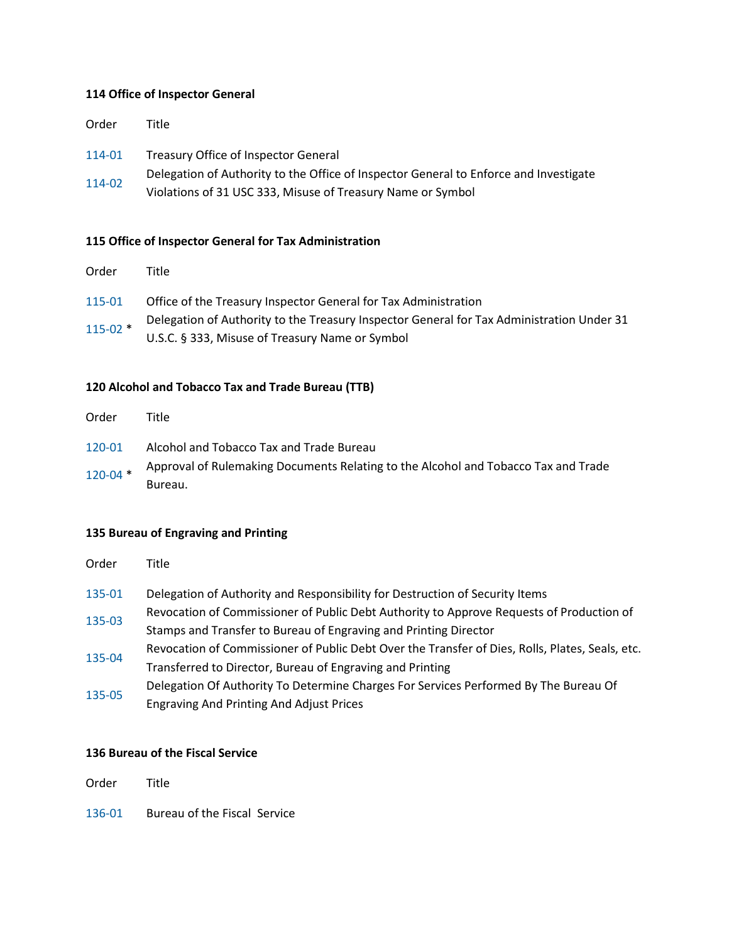#### **114 Office of Inspector General**

| Order            | Title                                                                                                                                                                                        |
|------------------|----------------------------------------------------------------------------------------------------------------------------------------------------------------------------------------------|
| 114-01<br>114-02 | Treasury Office of Inspector General<br>Delegation of Authority to the Office of Inspector General to Enforce and Investigate<br>Violations of 31 USC 333, Misuse of Treasury Name or Symbol |
|                  |                                                                                                                                                                                              |

#### **115 Office of Inspector General for Tax Administration**

| Order      | Title                                                                                                                                        |
|------------|----------------------------------------------------------------------------------------------------------------------------------------------|
| 115-01     | Office of the Treasury Inspector General for Tax Administration                                                                              |
| $115-02$ * | Delegation of Authority to the Treasury Inspector General for Tax Administration Under 31<br>U.S.C. § 333, Misuse of Treasury Name or Symbol |

## **120 Alcohol and Tobacco Tax and Trade Bureau (TTB)**

| Order        | Title                                                                              |
|--------------|------------------------------------------------------------------------------------|
| 120-01       | Alcohol and Tobacco Tax and Trade Bureau                                           |
| $120 - 04$ * | Approval of Rulemaking Documents Relating to the Alcohol and Tobacco Tax and Trade |
|              | Bureau.                                                                            |

#### **135 Bureau of Engraving and Printing**

| Order | Title |
|-------|-------|
|-------|-------|

- [135-01](https://www.treasury.gov/about/role-of-treasury/orders-directives/Pages/to135-01.aspx) Delegation of Authority and Responsibility for Destruction of Security Items
- [135-03](https://www.treasury.gov/about/role-of-treasury/orders-directives/Pages/to135-03.aspx) Revocation of Commissioner of Public Debt Authority to Approve Requests of Production of Stamps and Transfer to Bureau of Engraving and Printing Director
- [135-04](https://www.treasury.gov/about/role-of-treasury/orders-directives/Pages/to135-04.aspx) Revocation of Commissioner of Public Debt Over the Transfer of Dies, Rolls, Plates, Seals, etc. Transferred to Director, Bureau of Engraving and Printing
- [135-05](https://www.treasury.gov/about/role-of-treasury/orders-directives/Pages/to135-05.aspx) Delegation Of Authority To Determine Charges For Services Performed By The Bureau Of Engraving And Printing And Adjust Prices

#### **136 Bureau of the Fiscal Service**

Order Title

[136-01](https://www.treasury.gov/about/role-of-treasury/orders-directives/Pages/to136-01.aspx) Bureau of the Fiscal Service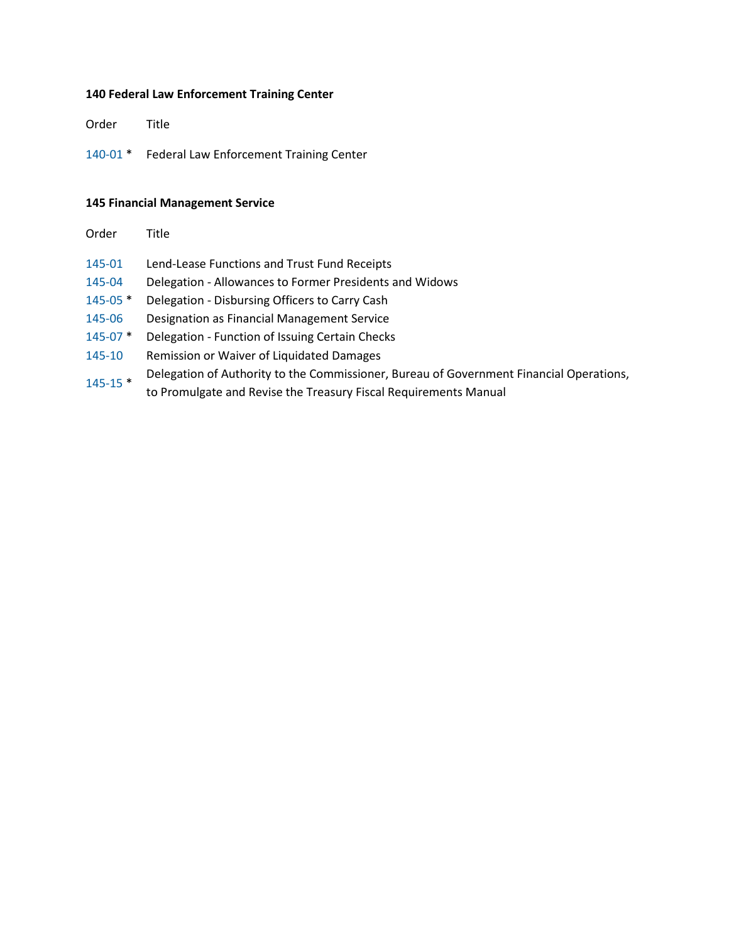# **140 Federal Law Enforcement Training Center**

Order Title

[140-01](https://www.treasury.gov/about/role-of-treasury/orders-directives/Pages/to140-01.aspx) \* Federal Law Enforcement Training Center

## **145 Financial Management Service**

| Order        | Title                                                                                   |
|--------------|-----------------------------------------------------------------------------------------|
| 145-01       | Lend-Lease Functions and Trust Fund Receipts                                            |
| 145-04       | Delegation - Allowances to Former Presidents and Widows                                 |
| $145 - 05$ * | Delegation - Disbursing Officers to Carry Cash                                          |
| 145-06       | Designation as Financial Management Service                                             |
| $145 - 07$ * | Delegation - Function of Issuing Certain Checks                                         |
| 145-10       | Remission or Waiver of Liquidated Damages                                               |
| $145 - 15$ * | Delegation of Authority to the Commissioner, Bureau of Government Financial Operations, |
|              | to Promulgate and Revise the Treasury Fiscal Requirements Manual                        |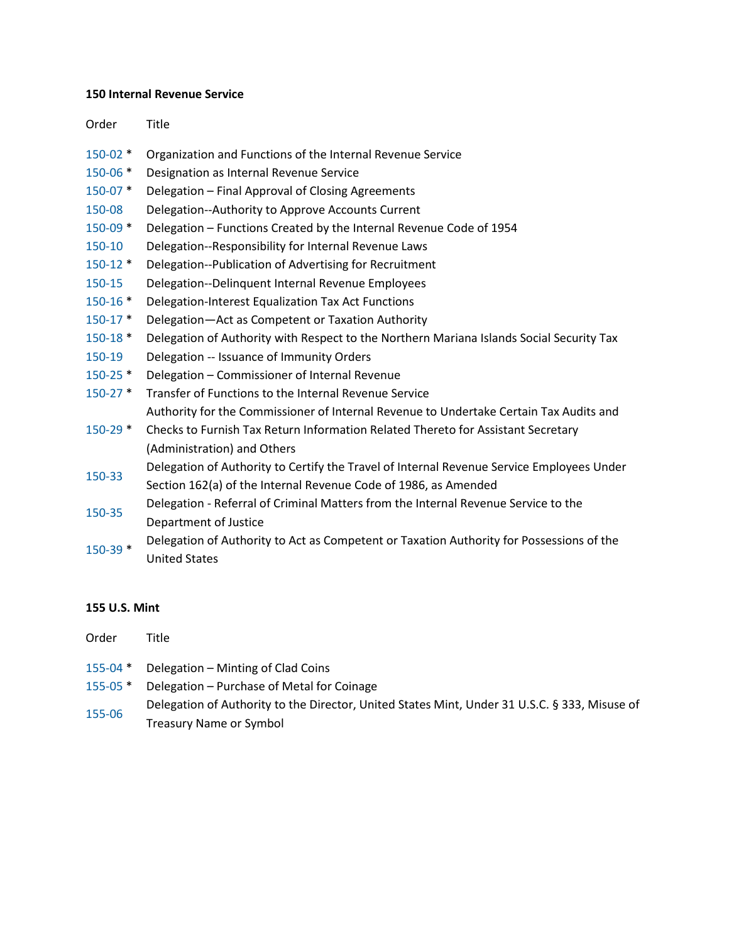#### **150 Internal Revenue Service**

Order Title

- [150-02](https://www.treasury.gov/about/role-of-treasury/orders-directives/Pages/to150-02.aspx) \* Organization and Functions of the Internal Revenue Service
- [150-06](https://www.treasury.gov/about/role-of-treasury/orders-directives/Pages/to150-06.aspx) \* Designation as Internal Revenue Service
- [150-07](https://www.treasury.gov/about/role-of-treasury/orders-directives/Pages/to150-07.aspx) \* Delegation Final Approval of Closing Agreements
- [150-08](https://www.treasury.gov/about/role-of-treasury/orders-directives/Pages/to150-08.aspx) Delegation--Authority to Approve Accounts Current
- [150-09](https://www.treasury.gov/about/role-of-treasury/orders-directives/Pages/to150-09.aspx) \* Delegation Functions Created by the Internal Revenue Code of 1954
- [150-10](https://www.treasury.gov/about/role-of-treasury/orders-directives/Pages/to150-10.aspx) Delegation--Responsibility for Internal Revenue Laws
- [150-12](https://www.treasury.gov/about/role-of-treasury/orders-directives/Pages/to150-12.aspx) \* Delegation--Publication of Advertising for Recruitment
- [150-15](https://www.treasury.gov/about/role-of-treasury/orders-directives/Pages/to150-15.aspx) Delegation--Delinquent Internal Revenue Employees
- [150-16](https://www.treasury.gov/about/role-of-treasury/orders-directives/Pages/to150-16.aspx) \* Delegation-Interest Equalization Tax Act Functions
- [150-17](https://www.treasury.gov/about/role-of-treasury/orders-directives/Pages/to150-17.aspx) \* Delegation—Act as Competent or Taxation Authority
- [150-18](https://www.treasury.gov/about/role-of-treasury/orders-directives/Pages/to150-18.aspx) \* Delegation of Authority with Respect to the Northern Mariana Islands Social Security Tax
- [150-19](https://www.treasury.gov/about/role-of-treasury/orders-directives/Pages/to150-19.aspx) Delegation -- Issuance of Immunity Orders
- [150-25](https://www.treasury.gov/about/role-of-treasury/orders-directives/Pages/to150-25.aspx) \* Delegation Commissioner of Internal Revenue
- [150-27](https://www.treasury.gov/about/role-of-treasury/orders-directives/Pages/to150-27.aspx) \* Transfer of Functions to the Internal Revenue Service Authority for the Commissioner of Internal Revenue to Undertake Certain Tax Audits and
- [150-29](https://www.treasury.gov/about/role-of-treasury/orders-directives/Pages/to150-29.aspx) \* Checks to Furnish Tax Return Information Related Thereto for Assistant Secretary (Administration) and Others

[150-33](https://www.treasury.gov/about/role-of-treasury/orders-directives/Pages/to150-33.aspx) Delegation of Authority to Certify the Travel of Internal Revenue Service Employees Under

- Section 162(a) of the Internal Revenue Code of 1986, as Amended
- [150-35](https://www.treasury.gov/about/role-of-treasury/orders-directives/Pages/to150-35.aspx) Delegation Referral of Criminal Matters from the Internal Revenue Service to the Department of Justice
- [150-39](https://www.treasury.gov/about/role-of-treasury/orders-directives/Pages/to150-39.aspx) \* Delegation of Authority to Act as Competent or Taxation Authority for Possessions of the United States

#### **155 U.S. Mint**

| Order    | Title                                                                                         |
|----------|-----------------------------------------------------------------------------------------------|
|          | 155-04 * Delegation – Minting of Clad Coins                                                   |
| 155-05 * | Delegation – Purchase of Metal for Coinage                                                    |
| 155-06   | Delegation of Authority to the Director, United States Mint, Under 31 U.S.C. § 333, Misuse of |
|          | <b>Treasury Name or Symbol</b>                                                                |